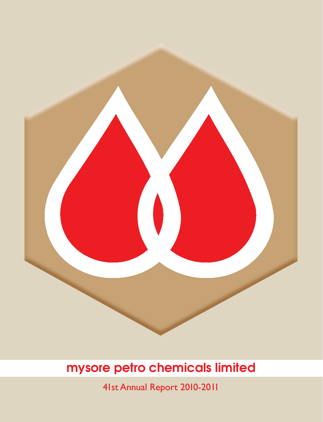

41st Annual Report 2010-2011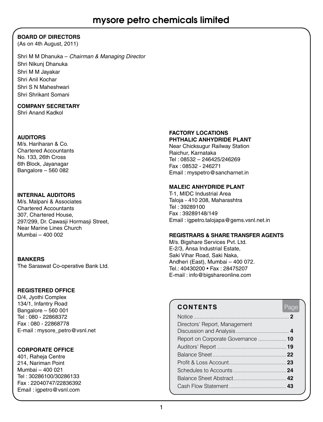### **BOARD OF DIRECTORS**

(As on 4th August, 2011)

Shri M M Dhanuka – *Chairman & Managing Director* Shri Nikunj Dhanuka Shri M M Jayakar Shri Anil Kochar Shri S N Maheshwari Shri Shrikant Somani

### **COMPANY SECRETARY**

Shri Anand Kadkol

### **AUDITORS**

M/s. Hariharan & Co. Chartered Accountants No. 133, 26th Cross 6th Block, Jayanagar Bangalore – 560 082

### **INTERNAL AUDITORS**

M/s. Malpani & Associates Chartered Accountants 307, Chartered House, 297/299, Dr. Cawasii Hormasii Street, Near Marine Lines Church Mumbai – 400 002

### **BANKERS**

The Saraswat Co-operative Bank Ltd.

### **REGISTERED OFFICE**

D/4, Jyothi Complex 134/1, Infantry Road Bangalore – 560 001 Tel : 080 - 22868372 Fax : 080 - 22868778 E-mail : mysore\_petro@vsnl.net

### **CORPORATE OFFICE**

401, Raheja Centre 214, Nariman Point Mumbai – 400 021 Tel : 30286100/30286133 Fax : 22040747/22836392 Email : igpetro@vsnl.com

### **FACTORY LOCATIONS PHTHALIC ANHYDRIDE Plant**

Near Chicksugur Railway Station Raichur, Karnataka Tel : 08532 – 246425/246269 Fax : 08532 - 246271 Email : myspetro@sancharnet.in

### **MALEIC ANHYDRIDE Plant**

T-1, MIDC Industrial Area Taloja - 410 208, Maharashtra Tel : 39289100 Fax : 39289148/149 Email : igpetro.talojapa@gems.vsnl.net.in

#### **REGISTRARS & SHARE TRANSFER AGENTS**

M/s. Bigshare Services Pvt. Ltd. E-2/3, Ansa Industrial Estate, Saki Vihar Road, Saki Naka, Andheri (East), Mumbai – 400 072. Tel.: 40430200 • Fax : 28475207 E-mail : info@bigshareonline.com

### **CONTENTS** Page Notice.................................................................. **2** Directors' Report, Management Discussion and Analysis..................................... **4** Report on Corporate Governance.................... **10** Auditors' Report................................................ **19** Balance Sheet................................................... **22** Profit & Loss Account........................................ **23** Schedules to Accounts..................................... **24** Balance Sheet Abstract..................................... **42** Cash Flow Statement........................................ **43**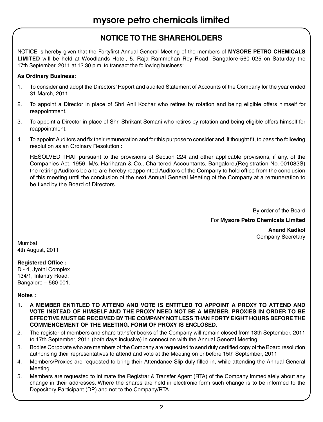### **NOTICE TO THE SHAREHOLDERS**

NOTICE is hereby given that the Fortyfirst Annual General Meeting of the members of **MYSORE PETRO CHEMICALS LIMITED** will be held at Woodlands Hotel, 5, Raja Rammohan Roy Road, Bangalore-560 025 on Saturday the 17th September, 2011 at 12.30 p.m. to transact the following business:

### **As Ordinary Business:**

- 1. To consider and adopt the Directors' Report and audited Statement of Accounts of the Company for the year ended 31 March, 2011.
- 2. To appoint a Director in place of Shri Anil Kochar who retires by rotation and being eligible offers himself for reappointment.
- 3. To appoint a Director in place of Shri Shrikant Somani who retires by rotation and being eligible offers himself for reappointment.
- 4. To appoint Auditors and fix their remuneration and for this purpose to consider and, if thought fit, to pass the following resolution as an Ordinary Resolution :

RESOLVED THAT pursuant to the provisions of Section 224 and other applicable provisions, if any, of the Companies Act, 1956, M/s. Hariharan & Co., Chartered Accountants, Bangalore,(Registration No. 001083S) the retiring Auditors be and are hereby reappointed Auditors of the Company to hold office from the conclusion of this meeting until the conclusion of the next Annual General Meeting of the Company at a remuneration to be fixed by the Board of Directors.

By order of the Board

For **Mysore Petro Chemicals Limited** 

**Anand Kadkol** Company Secretary

Mumbai 4th August, 2011

### **Registered Office :**

D - 4, Jyothi Complex 134/1, Infantry Road, Bangalore – 560 001.

### **Notes :**

- **1. A MEMBER ENTITLED TO ATTEND AND VOTE IS ENTITLED TO APPOINT A PROXY TO ATTEND AND VOTE INSTEAD OF HIMSELF AND THE PROXY NEED NOT BE A MEMBER. PROXIES IN ORDER TO BE EFFECTIVE MUST BE RECEIVED BY THE COMPANY NOT LESS THAN FORTY EIGHT HOURS BEFORE THE COMMENCEMENT OF THE MEETING. FORM OF PROXY IS ENCLOSED.**
- 2. The register of members and share transfer books of the Company will remain closed from 13th September, 2011 to 17th September, 2011 (both days inclusive) in connection with the Annual General Meeting.
- 3. Bodies Corporate who are members of the Company are requested to send duly certified copy of the Board resolution authorising their representatives to attend and vote at the Meeting on or before 15th September, 2011.
- 4. Members/Proxies are requested to bring their Attendance Slip duly filled in, while attending the Annual General Meeting.
- 5. Members are requested to intimate the Registrar & Transfer Agent (RTA) of the Company immediately about any change in their addresses. Where the shares are held in electronic form such change is to be informed to the Depository Participant (DP) and not to the Company/RTA.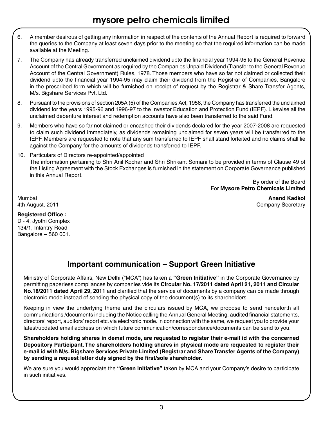- 6. A member desirous of getting any information in respect of the contents of the Annual Report is required to forward the queries to the Company at least seven days prior to the meeting so that the required information can be made available at the Meeting.
- 7. The Company has already transferred unclaimed dividend upto the financial year 1994-95 to the General Revenue Account of the Central Government as required by the Companies Unpaid Dividend (Transfer to the General Revenue Account of the Central Government) Rules, 1978. Those members who have so far not claimed or collected their dividend upto the financial year 1994-95 may claim their dividend from the Registrar of Companies, Bangalore in the prescribed form which will be furnished on receipt of request by the Registrar & Share Transfer Agents, M/s. Bigshare Services Pvt. Ltd.
- 8. Pursuant to the provisions of section 205A (5) of the Companies Act, 1956, the Company has transferred the unclaimed dividend for the years 1995-96 and 1996-97 to the Investor Education and Protection Fund (IEPF). Likewise all the unclaimed debenture interest and redemption accounts have also been transferred to the said Fund.
- 9. Members who have so far not claimed or encashed their dividends declared for the year 2007-2008 are requested to claim such dividend immediately, as dividends remaining unclaimed for seven years will be transferred to the IEPF. Members are requested to note that any sum transferred to IEPF shall stand forfeited and no claims shall lie against the Company for the amounts of dividends transferred to IEPF.
- 10. Particulars of Directors re-appointed/appointed The information pertaining to Shri Anil Kochar and Shri Shrikant Somani to be provided in terms of Clause 49 of the Listing Agreement with the Stock Exchanges is furnished in the statement on Corporate Governance published in this Annual Report.

By order of the Board For **Mysore Petro Chemicals Limited** 

Mumbai **Anand Kadkol** 4th August, 2011 **Company Secretary Company Secretary** 

### **Registered Office :**

D - 4, Jyothi Complex 134/1, Infantry Road Bangalore – 560 001.

### **Important communication – Support Green Initiative**

Ministry of Corporate Affairs, New Delhi ("MCA") has taken a **"Green Initiative"** in the Corporate Governance by permitting paperless compliances by companies vide its **Circular No. 17/2011 dated April 21, 2011 and Circular No.18/2011 dated April 29, 2011** and clarified that the service of documents by a company can be made through electronic mode instead of sending the physical copy of the document(s) to its shareholders.

Keeping in view the underlying theme and the circulars issued by MCA, we propose to send henceforth all communications /documents including the Notice calling the Annual General Meeting, audited financial statements, directors' report, auditors' report etc. via electronic mode. In connection with the same, we request you to provide your latest/updated email address on which future communication/correspondence/documents can be send to you.

**Shareholders holding shares in demat mode, are requested to register their e-mail id with the concerned Depository Participant. The shareholders holding shares in physical mode are requested to register their e-mail id with M/s. Bigshare Services Private Limited (Registrar and Share Transfer Agents of the Company) by sending a request letter duly signed by the first/sole shareholder.**

We are sure you would appreciate the **"Green Initiative"** taken by MCA and your Company's desire to participate in such initiatives.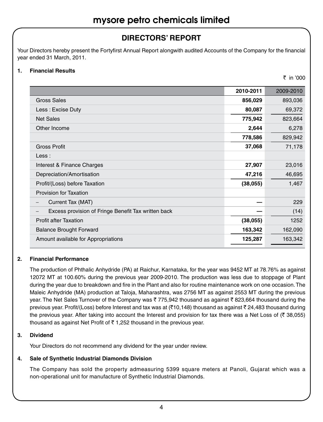### **DIRECTORS' REPORT**

Your Directors hereby present the Fortyfirst Annual Report alongwith audited Accounts of the Company for the financial year ended 31 March, 2011.

### **1. Financial Results**

 $\bar{\tau}$  in '000

|                                                     | 2010-2011 | 2009-2010 |
|-----------------------------------------------------|-----------|-----------|
| Gross Sales                                         | 856,029   | 893,036   |
| Less: Excise Duty                                   | 80,087    | 69,372    |
| <b>Net Sales</b>                                    | 775,942   | 823,664   |
| Other Income                                        | 2,644     | 6,278     |
|                                                     | 778,586   | 829,942   |
| <b>Gross Profit</b>                                 | 37,068    | 71,178    |
| Less:                                               |           |           |
| Interest & Finance Charges                          | 27,907    | 23,016    |
| Depreciation/Amortisation                           | 47,216    | 46,695    |
| Profit/(Loss) before Taxation                       | (38,055)  | 1,467     |
| <b>Provision for Taxation</b>                       |           |           |
| Current Tax (MAT)                                   |           | 229       |
| Excess provision of Fringe Benefit Tax written back |           | (14)      |
| <b>Profit after Taxation</b>                        | (38,055)  | 1252      |
| <b>Balance Brought Forward</b>                      | 163,342   | 162,090   |
| Amount available for Appropriations                 | 125,287   | 163,342   |

### **2. Financial Performance**

The production of Phthalic Anhydride (PA) at Raichur, Karnataka, for the year was 9452 MT at 78.76% as against 12072 MT at 100.60% during the previous year 2009-2010. The production was less due to stoppage of Plant during the year due to breakdown and fire in the Plant and also for routine maintenance work on one occasion. The Maleic Anhydride (MA) production at Taloja, Maharashtra, was 2756 MT as against 2553 MT during the previous year. The Net Sales Turnover of the Company was  $\bar{z}$  775,942 thousand as against  $\bar{z}$  823,664 thousand during the previous year. Profit/(Loss) before Interest and tax was at (₹10,148) thousand as against ₹24,483 thousand during the previous year. After taking into account the Interest and provision for tax there was a Net Loss of ( $\bar{\tau}$  38,055) thousand as against Net Profit of  $\bar{\tau}$  1,252 thousand in the previous year.

### **3. Dividend**

Your Directors do not recommend any dividend for the year under review.

### **4. Sale of Synthetic Industrial Diamonds Division**

The Company has sold the property admeasuring 5399 square meters at Panoli, Gujarat which was a non-operational unit for manufacture of Synthetic Industrial Diamonds.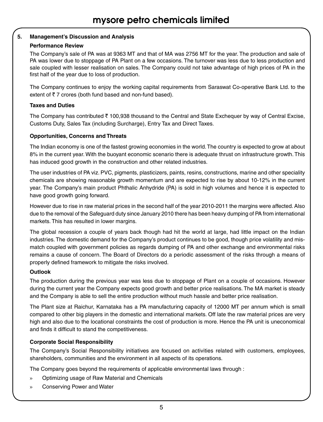### **5. Management's Discussion and Analysis**

### **Performance Review**

The Company's sale of PA was at 9363 MT and that of MA was 2756 MT for the year. The production and sale of PA was lower due to stoppage of PA Plant on a few occasions. The turnover was less due to less production and sale coupled with lesser realisation on sales. The Company could not take advantage of high prices of PA in the first half of the year due to loss of production.

The Company continues to enjoy the working capital requirements from Saraswat Co-operative Bank Ltd. to the extent of  $\overline{\tau}$  7 crores (both fund based and non-fund based).

### **Taxes and Duties**

The Company has contributed  $\bar{\tau}$  100,938 thousand to the Central and State Exchequer by way of Central Excise, Customs Duty, Sales Tax (including Surcharge), Entry Tax and Direct Taxes.

### **Opportunities, Concerns and Threats**

The Indian economy is one of the fastest growing economies in the world. The country is expected to grow at about 8% in the current year. With the buoyant economic scenario there is adequate thrust on infrastructure growth. This has induced good growth in the construction and other related industries.

The user industries of PA viz. PVC, pigments, plasticizers, paints, resins, constructions, marine and other speciality chemicals are showing reasonable growth momentum and are expected to rise by about 10-12% in the current year. The Company's main product Phthalic Anhydride (PA) is sold in high volumes and hence it is expected to have good growth going forward.

However due to rise in raw material prices in the second half of the year 2010-2011 the margins were affected. Also due to the removal of the Safeguard duty since January 2010 there has been heavy dumping of PA from international markets. This has resulted in lower margins.

The global recession a couple of years back though had hit the world at large, had little impact on the Indian industries. The domestic demand for the Company's product continues to be good, though price volatility and mismatch coupled with government policies as regards dumping of PA and other exchange and environmental risks remains a cause of concern. The Board of Directors do a periodic assessment of the risks through a means of properly defined framework to mitigate the risks involved.

### **Outlook**

The production during the previous year was less due to stoppage of Plant on a couple of occasions. However during the current year the Company expects good growth and better price realisations. The MA market is steady and the Company is able to sell the entire production without much hassle and better price realisation.

The Plant size at Raichur, Karnataka has a PA manufacturing capacity of 12000 MT per annum which is small compared to other big players in the domestic and international markets. Off late the raw material prices are very high and also due to the locational constraints the cost of production is more. Hence the PA unit is uneconomical and finds it difficult to stand the competitiveness.

### **Corporate Social Responsibility**

The Company's Social Responsibility initiatives are focused on activities related with customers, employees, shareholders, communities and the environment in all aspects of its operations.

The Company goes beyond the requirements of applicable environmental laws through :

- » Optimizing usage of Raw Material and Chemicals
- » Conserving Power and Water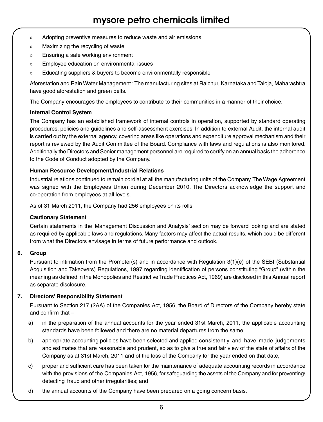- » Adopting preventive measures to reduce waste and air emissions
- » Maximizing the recycling of waste
- » Ensuring a safe working environment
- » Employee education on environmental issues
- » Educating suppliers & buyers to become environmentally responsible

Aforestation and Rain Water Management : The manufacturing sites at Raichur, Karnataka and Taloja, Maharashtra have good aforestation and green belts.

The Company encourages the employees to contribute to their communities in a manner of their choice.

### **Internal Control System**

The Company has an established framework of internal controls in operation, supported by standard operating procedures, policies and guidelines and self-assessment exercises. In addition to external Audit, the internal audit is carried out by the external agency, covering areas like operations and expenditure approval mechanism and their report is reviewed by the Audit Committee of the Board. Compliance with laws and regulations is also monitored. Additionally the Directors and Senior management personnel are required to certify on an annual basis the adherence to the Code of Conduct adopted by the Company.

### **Human Resource Development/Industrial Relations**

Industrial relations continued to remain cordial at all the manufacturing units of the Company. The Wage Agreement was signed with the Employees Union during December 2010. The Directors acknowledge the support and co-operation from employees at all levels.

As of 31 March 2011, the Company had 256 employees on its rolls.

#### **Cautionary Statement**

Certain statements in the 'Management Discussion and Analysis' section may be forward looking and are stated as required by applicable laws and regulations. Many factors may affect the actual results, which could be different from what the Directors envisage in terms of future performance and outlook.

### **6. Group**

Pursuant to intimation from the Promoter(s) and in accordance with Regulation 3(1)(e) of the SEBI (Substantial Acquisition and Takeovers) Regulations, 1997 regarding identification of persons constituting "Group" (within the meaning as defined in the Monopolies and Restrictive Trade Practices Act, 1969) are disclosed in this Annual report as separate disclosure.

### **7. Directors' Responsibility Statement**

Pursuant to Section 217 (2AA) of the Companies Act, 1956, the Board of Directors of the Company hereby state and confirm that –

- a) in the preparation of the annual accounts for the year ended 31st March, 2011, the applicable accounting standards have been followed and there are no material departures from the same;
- b) appropriate accounting policies have been selected and applied consistently and have made judgements and estimates that are reasonable and prudent, so as to give a true and fair view of the state of affairs of the Company as at 31st March, 2011 and of the loss of the Company for the year ended on that date;
- c) proper and sufficient care has been taken for the maintenance of adequate accounting records in accordance with the provisions of the Companies Act, 1956, for safeguarding the assets of the Company and for preventing/ detecting fraud and other irregularities; and
- d) the annual accounts of the Company have been prepared on a going concern basis.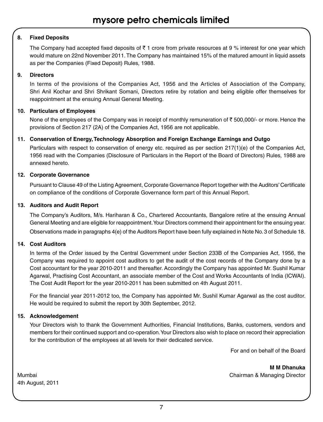### **8. Fixed Deposits**

The Company had accepted fixed deposits of  $\bar{\tau}$  1 crore from private resources at 9 % interest for one year which would mature on 22nd November 2011. The Company has maintained 15% of the matured amount in liquid assets as per the Companies (Fixed Deposit) Rules, 1988.

### **9. Directors**

In terms of the provisions of the Companies Act, 1956 and the Articles of Association of the Company, Shri Anil Kochar and Shri Shrikant Somani, Directors retire by rotation and being eligible offer themselves for reappointment at the ensuing Annual General Meeting.

### **10. Particulars of Employees**

None of the employees of the Company was in receipt of monthly remuneration of  $\bar{\tau}$  500,000/- or more. Hence the provisions of Section 217 (2A) of the Companies Act, 1956 are not applicable.

### **11. Conservation of Energy, Technology Absorption and Foreign Exchange Earnings and Outgo**

Particulars with respect to conservation of energy etc. required as per section 217(1)(e) of the Companies Act, 1956 read with the Companies (Disclosure of Particulars in the Report of the Board of Directors) Rules, 1988 are annexed hereto.

### **12. Corporate Governance**

Pursuant to Clause 49 of the Listing Agreement, Corporate Governance Report together with the Auditors' Certificate on compliance of the conditions of Corporate Governance form part of this Annual Report.

### **13. Auditors and Audit Report**

The Company's Auditors, M/s. Hariharan & Co., Chartered Accountants, Bangalore retire at the ensuing Annual General Meeting and are eligible for reappointment. Your Directors commend their appointment for the ensuing year. Observations made in paragraphs 4(e) of the Auditors Report have been fully explained in Note No. 3 of Schedule 18.

### **14. Cost Auditors**

In terms of the Order issued by the Central Government under Section 233B of the Companies Act, 1956, the Company was required to appoint cost auditors to get the audit of the cost records of the Company done by a Cost accountant for the year 2010-2011 and thereafter. Accordingly the Company has appointed Mr. Sushil Kumar Agarwal, Practising Cost Accountant, an associate member of the Cost and Works Accountants of India (ICWAI). The Cost Audit Report for the year 2010-2011 has been submitted on 4th August 2011.

For the financial year 2011-2012 too, the Company has appointed Mr. Sushil Kumar Agarwal as the cost auditor. He would be required to submit the report by 30th September, 2012.

### **15. Acknowledgement**

Your Directors wish to thank the Government Authorities, Financial Institutions, Banks, customers, vendors and members for their continued support and co-operation. Your Directors also wish to place on record their appreciation for the contribution of the employees at all levels for their dedicated service.

For and on behalf of the Board

**M M Dhanuka** Mumbai Chairman & Managing Director

4th August, 2011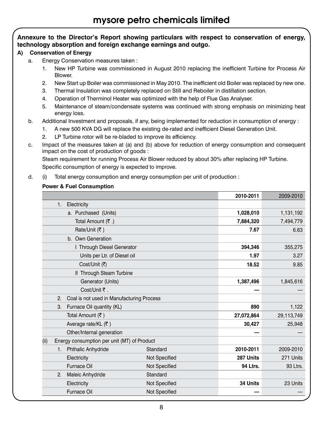### **Annexure to the Director's Report showing particulars with respect to conservation of energy, technology absorption and foreign exchange earnings and outgo.**

### **A) Conservation of Energy**

- a. Energy Conservation measures taken :
	- 1. New HP Turbine was commissioned in August 2010 replacing the inefficient Turbine for Process Air Blower.
	- 2. New Start up Boiler was commissioned in May 2010. The inefficient old Boiler was replaced by new one.
	- 3. Thermal Insulation was completely replaced on Still and Reboiler in distillation section.
	- 4. Operation of Therminol Heater was optimized with the help of Flue Gas Analyser.
	- 5. Maintenance of steam/condensate systems was continued with strong emphasis on minimizing heat energy loss.
- b. Additional Investment and proposals, if any, being implemented for reduction in consumption of energy :
	- 1. A new 500 KVA DG will replace the existing de-rated and inefficient Diesel Generation Unit.
	- 2. LP Turbine rotor will be re-bladed to improve its efficiency.
- c. Impact of the measures taken at (a) and (b) above for reduction of energy consumption and consequent impact on the cost of production of goods :

Steam requirement for running Process Air Blower reduced by about 30% after replacing HP Turbine. Specific consumption of energy is expected to improve.

d. (i) Total energy consumption and energy consumption per unit of production :

### **Power & Fuel Consumption**

|                   |                                             |                      | 2010-2011 | 2009-2010  |
|-------------------|---------------------------------------------|----------------------|-----------|------------|
| 1.<br>Electricity |                                             |                      |           |            |
|                   | a. Purchased (Units)                        |                      | 1,028,010 | 1,131,192  |
|                   | Total Amount (₹.)                           |                      | 7,884,320 | 7,494,779  |
|                   | Rate/Unit (₹)                               |                      | 7.67      | 6.63       |
|                   | b. Own Generation                           |                      |           |            |
|                   | I Through Diesel Generator                  |                      | 394,346   | 355,275    |
|                   | Units per Ltr. of Diesel oil                |                      | 1.97      | 3.27       |
|                   | Cost/Unit (₹)                               |                      | 18.52     | 9.85       |
|                   | II Through Steam Turbine                    |                      |           |            |
|                   | Generator (Units)                           |                      | 1,387,496 | 1,845,616  |
|                   | Cost/Unit ₹.                                |                      |           |            |
| 2.                | Coal is not used in Manufacturing Process   |                      |           |            |
| 3.                | Furnace Oil quantity (KL)                   |                      | 890       | 1,122      |
|                   | Total Amount (₹)                            |                      |           | 29,113,749 |
|                   | Average rate/KL (₹)                         |                      | 30,427    | 25,948     |
|                   | Other/Internal generation                   |                      |           |            |
| (ii)              | Energy consumption per unit (MT) of Product |                      |           |            |
|                   | 1. Phthalic Anhydride                       | Standard             | 2010-2011 | 2009-2010  |
|                   | Electricity                                 | Not Specified        | 287 Units | 271 Units  |
|                   | <b>Furnace Oil</b>                          | <b>Not Specified</b> | 94 Ltrs.  | 93 Ltrs.   |
| 2.                | <b>Maleic Anhydride</b>                     | Standard             |           |            |
|                   | Electricity                                 | Not Specified        | 34 Units  | 23 Units   |
|                   | <b>Furnace Oil</b>                          | Not Specified        |           |            |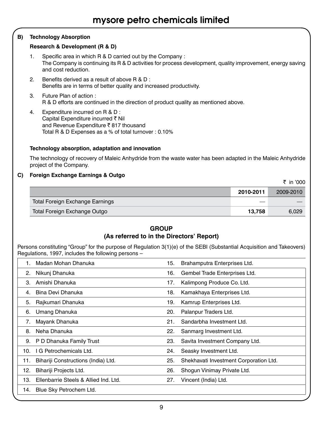### **B) Technology Absorption**

#### **Research & Development (R & D)**

- 1. Specific area in which R & D carried out by the Company : The Company is continuing its R & D activities for process development, quality improvement, energy saving and cost reduction.
- 2. Benefits derived as a result of above R & D : Benefits are in terms of better quality and increased productivity.
- 3. Future Plan of action : R & D efforts are continued in the direction of product quality as mentioned above.
- 4. Expenditure incurred on R & D : Capital Expenditure incurred ₹ Nil and Revenue Expenditure  $\bar{\tau}$  817 thousand Total R & D Expenses as a % of total turnover : 0.10%

#### **Technology absorption, adaptation and innovation**

The technology of recovery of Maleic Anhydride from the waste water has been adapted in the Maleic Anhydride project of the Company.

### **C) Foreign Exchange Earnings & Outgo**

 $\bar{\tau}$  in '000

|                                 | 2010-2011 | 2009-2010 |
|---------------------------------|-----------|-----------|
| Total Foreign Exchange Earnings |           |           |
| Total Foreign Exchange Outgo    | 13.758    | 6.029     |

### **GROUP (As referred to in the Directors' Report)**

Persons constituting "Group" for the purpose of Regulation 3(1)(e) of the SEBI (Substantial Acquisition and Takeovers) Regulations, 1997, includes the following persons –

|     | Madan Mohan Dhanuka                   | 15. | Brahamputra Enterprises Ltd.           |
|-----|---------------------------------------|-----|----------------------------------------|
| 2.  | Nikunj Dhanuka                        | 16. | Gembel Trade Enterprises Ltd.          |
| 3.  | Amishi Dhanuka                        | 17. | Kalimpong Produce Co. Ltd.             |
| 4.  | Bina Devi Dhanuka                     | 18. | Kamakhaya Enterprises Ltd.             |
| 5.  | Rajkumari Dhanuka                     | 19. | Kamrup Enterprises Ltd.                |
| 6.  | Umang Dhanuka                         | 20. | Palanpur Traders Ltd.                  |
| 7.  | Mayank Dhanuka                        | 21. | Sandarbha Investment Ltd.              |
| 8.  | Neha Dhanuka                          | 22. | Sanmarg Investment Ltd.                |
| 9.  | P D Dhanuka Family Trust              | 23. | Savita Investment Company Ltd.         |
| 10. | G Petrochemicals Ltd.                 | 24. | Seasky Investment Ltd.                 |
| 11. | Bihariji Constructions (India) Ltd.   | 25. | Shekhavati Investment Corporation Ltd. |
| 12. | Bihariji Projects Ltd.                | 26. | Shogun Vinimay Private Ltd.            |
| 13. | Ellenbarrie Steels & Allied Ind. Ltd. | 27. | Vincent (India) Ltd.                   |
| 14. | Blue Sky Petrochem Ltd.               |     |                                        |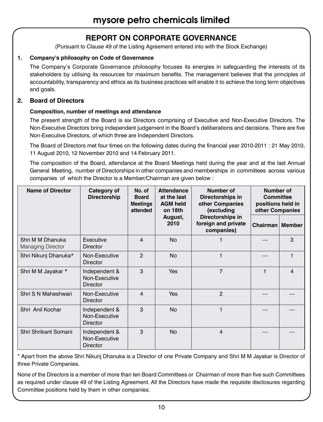### **REPORT ON CORPORATE GOVERNANCE**

(Pursuant to Clause 49 of the Listing Agreement entered into with the Stock Exchange)

### **1. Company's philosophy on Code of Governance**

The Company's Corporate Governance philosophy focuses its energies in safeguarding the interests of its stakeholders by utilising its resources for maximum benefits. The management believes that the principles of accountability, transparency and ethics as its business practices will enable it to achieve the long term objectives and goals.

### **2. Board of Directors**

### **Composition, number of meetings and attendance**

The present strength of the Board is six Directors comprising of Executive and Non-Executive Directors. The Non-Executive Directors bring independent judgement in the Board's deliberations and decisions. There are five Non-Executive Directors, of which three are Independent Directors.

The Board of Directors met four times on the following dates during the financial year 2010-2011 : 21 May 2010, 11 August 2010, 12 November 2010 and 14 February 2011.

The composition of the Board, attendance at the Board Meetings held during the year and at the last Annual General Meeting, number of Directorships in other companies and memberships in committees across various companies of which the Director is a Member/Chairman are given below :

| <b>Name of Director</b>                      | Category of<br>Directorship                       | No. of<br><b>Board</b><br><b>Meetings</b><br>attended | <b>Attendance</b><br>at the last<br><b>AGM held</b><br>on 18th | Number of<br>Directorships in<br>other Companies<br>(excluding | Number of<br>Committee<br>positions held in<br>other Companies |                         |
|----------------------------------------------|---------------------------------------------------|-------------------------------------------------------|----------------------------------------------------------------|----------------------------------------------------------------|----------------------------------------------------------------|-------------------------|
|                                              |                                                   |                                                       | August,<br>2010                                                | Directorships in<br>foreign and private<br>companies)          | Chairman                                                       | <b>Member</b>           |
| Shri M M Dhanuka<br><b>Managing Director</b> | Executive<br>Director                             | $\overline{4}$                                        | <b>No</b>                                                      |                                                                |                                                                | 3                       |
| Shri Nikunj Dhanuka*                         | Non-Executive<br>Director                         | $\mathcal{P}$                                         | <b>No</b>                                                      |                                                                |                                                                | 1                       |
| Shri M M Jayakar *                           | Independent &<br>Non-Executive<br><b>Director</b> | 3                                                     | Yes                                                            | $\overline{7}$                                                 | 1                                                              | $\overline{\mathbf{4}}$ |
| Shri S N Maheshwari                          | Non-Executive<br>Director                         | 4                                                     | Yes                                                            | $\overline{2}$                                                 |                                                                |                         |
| Shri Anil Kochar                             | Independent &<br>Non-Executive<br><b>Director</b> | 3                                                     | <b>No</b>                                                      | 1                                                              |                                                                |                         |
| Shri Shrikant Somani                         | Independent &<br>Non-Executive<br><b>Director</b> | 3                                                     | <b>No</b>                                                      | 4                                                              |                                                                |                         |

\* Apart from the above Shri Nikunj Dhanuka is a Director of one Private Company and Shri M M Jayakar is Director of three Private Companies.

None of the Directors is a member of more than ten Board Committees or Chairman of more than five such Committees as required under clause 49 of the Listing Agreement. All the Directors have made the requisite disclosures regarding Committee positions held by them in other companies.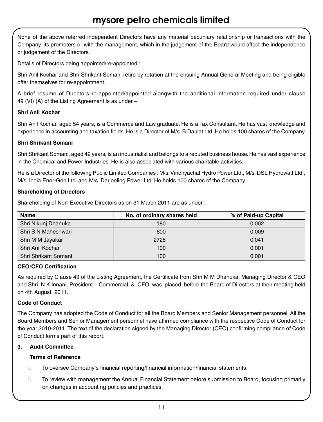None of the above referred independent Directors have any material pecuniary relationship or transactions with the Company, its promoters or with the management, which in the judgement of the Board would affect the independence or judgement of the Directors.

Details of Directors being appointed/re-appointed :

Shri Anil Kochar and Shri Shrikant Somani retire by rotation at the ensuing Annual General Meeting and being eligible offer themselves for re-appointment.

A brief resume of Directors re-appointed/appointed alongwith the additional information required under clause 49 (VI) (A) of the Listing Agreement is as under –

### **Shri Anil Kochar**

Shri Anil Kochar, aged 54 years, is a Commerce and Law graduate. He is a Tax Consultant. He has vast knowledge and experience in accounting and taxation fields. He is a Director of M/s. B Daulat Ltd. He holds 100 shares of the Company.

### **Shri Shrikant Somani**

Shri Shrikant Somani, aged 42 years, is an industrialist and belongs to a reputed business house. He has vast experience in the Chemical and Power Industries. He is also associated with various charitable activities.

He is a Director of the following Public Limited Companies : M/s. Vindhyachal Hydro Power Ltd., M/s. DSL Hydrowatt Ltd., M/s. India Ener-Gen Ltd. and M/s. Darjeeling Power Ltd. He holds 100 shares of the Company.

### **Shareholding of Directors**

Shareholding of Non-Executive Directors as on 31 March 2011 are as under :

| Name                 | No. of ordinary shares held | % of Paid-up Capital |
|----------------------|-----------------------------|----------------------|
| Shri Nikunj Dhanuka  | 180                         | 0.002                |
| Shri S N Maheshwari  | 600                         | 0.009                |
| Shri M M Jayakar     | 2725                        | 0.041                |
| Shri Anil Kochar     | 100                         | 0.001                |
| Shri Shrikant Somani | 100                         | 0.001                |

### **CEO/CFO Certification**

As required by Clause 49 of the Listing Agreement, the Certificate from Shri M M Dhanuka, Managing Director & CEO and Shri N K Innani, President – Commercial & CFO was placed before the Board of Directors at their meeting held on 4th August, 2011.

### **Code of Conduct**

The Company has adopted the Code of Conduct for all the Board Members and Senior Management personnel. All the Board Members and Senior Management personnel have affirmed compliance with the respective Code of Conduct for the year 2010-2011. The text of the declaration signed by the Managing Director (CEO) confirming compliance of Code of Conduct forms part of this report.

### **3. Audit Committee**

### **Terms of Reference**

- i. To oversee Company's financial reporting/financial information/financial statements.
- ii. To review with management the Annual Financial Statement before submission to Board, focusing primarily on changes in accounting policies and practices.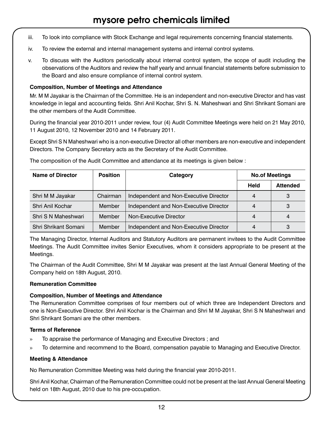- iii. To look into compliance with Stock Exchange and legal requirements concerning financial statements.
- iv. To review the external and internal management systems and internal control systems.
- v. To discuss with the Auditors periodically about internal control system, the scope of audit including the observations of the Auditors and review the half yearly and annual financial statements before submission to the Board and also ensure compliance of internal control system.

### **Composition, Number of Meetings and Attendance**

Mr. M M Jayakar is the Chairman of the Committee. He is an independent and non-executive Director and has vast knowledge in legal and accounting fields. Shri Anil Kochar, Shri S. N. Maheshwari and Shri Shrikant Somani are the other members of the Audit Committee.

During the financial year 2010-2011 under review, four (4) Audit Committee Meetings were held on 21 May 2010, 11 August 2010, 12 November 2010 and 14 February 2011.

Except Shri S N Maheshwari who is a non-executive Director all other members are non-executive and independent Directors. The Company Secretary acts as the Secretary of the Audit Committee.

The composition of the Audit Committee and attendance at its meetings is given below :

| <b>Name of Director</b> | Position | Category                               | <b>No.of Meetings</b> |                 |
|-------------------------|----------|----------------------------------------|-----------------------|-----------------|
|                         |          |                                        | Held                  | <b>Attended</b> |
| Shri M M Jayakar        | Chairman | Independent and Non-Executive Director | $\overline{4}$        | 3               |
| Shri Anil Kochar        | Member   | Independent and Non-Executive Director | $\overline{4}$        | 3               |
| Shri S N Maheshwari     | Member   | Non-Executive Director                 | 4                     | 4               |
| Shri Shrikant Somani    | Member   | Independent and Non-Executive Director | 4                     | 3               |

The Managing Director, Internal Auditors and Statutory Auditors are permanent invitees to the Audit Committee Meetings. The Audit Committee invites Senior Executives, whom it considers appropriate to be present at the Meetings.

The Chairman of the Audit Committee, Shri M M Jayakar was present at the last Annual General Meeting of the Company held on 18th August, 2010.

#### **Remuneration Committee**

#### **Composition, Number of Meetings and Attendance**

The Remuneration Committee comprises of four members out of which three are Independent Directors and one is Non-Executive Director. Shri Anil Kochar is the Chairman and Shri M M Jayakar, Shri S N Maheshwari and Shri Shrikant Somani are the other members.

### **Terms of Reference**

- » To appraise the performance of Managing and Executive Directors ; and
- » To determine and recommend to the Board, compensation payable to Managing and Executive Director.

### **Meeting & Attendance**

No Remuneration Committee Meeting was held during the financial year 2010-2011.

Shri Anil Kochar, Chairman of the Remuneration Committee could not be present at the last Annual General Meeting held on 18th August, 2010 due to his pre-occupation.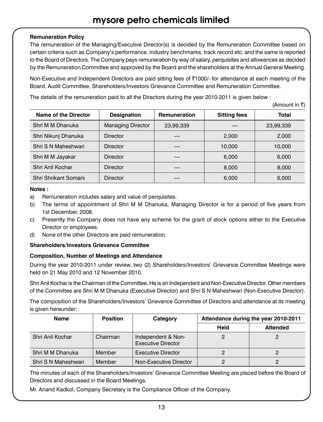### **Remuneration Policy**

The remuneration of the Managing/Executive Director(s) is decided by the Remuneration Committee based on certain criteria such as Company's performance, industry benchmarks, track record etc. and the same is reported to the Board of Directors. The Company pays remuneration by way of salary, perquisites and allowances as decided by the Remuneration Committee and approved by the Board and the shareholders at the Annual General Meeting.

Non-Executive and Independent Directors are paid sitting fees of ₹1000/- for attendance at each meeting of the Board, Audit Committee, Shareholders/Investors Grievance Committee and Remuneration Committee.

The details of the remuneration paid to all the Directors during the year 2010-2011 is given below :

 $(\Delta m \cap \text{int in } \bar{\tau})$ 

| Name of the Director | <b>Designation</b>       | Remuneration | <b>Sitting fees</b> | <b>Total</b> |
|----------------------|--------------------------|--------------|---------------------|--------------|
| Shri M M Dhanuka     | <b>Managing Director</b> | 23,99,339    |                     | 23,99,339    |
| Shri Nikunj Dhanuka  | <b>Director</b>          |              | 2,000               | 2.000        |
| Shri S N Maheshwari  | <b>Director</b>          |              | 10.000              | 10,000       |
| Shri M M Jayakar     | <b>Director</b>          |              | 6.000               | 6,000        |
| Shri Anil Kochar     | <b>Director</b>          |              | 8.000               | 8,000        |
| Shri Shrikant Somani | <b>Director</b>          |              | 6,000               | 6,000        |

### **Notes :**

- a) Remuneration includes salary and value of perquisites.
- b) The terms of appointment of Shri M M Dhanuka, Managing Director is for a period of five years from 1st December, 2008.
- c) Presently the Company does not have any scheme for the grant of stock options either to the Executive Director or employees.
- d) None of the other Directors are paid remuneration.

### **Shareholders/Investors Grievance Committee**

### **Composition, Number of Meetings and Attendance**

During the year 2010-2011 under review, two (2) Shareholders/Investors' Grievance Committee Meetings were held on 21 May 2010 and 12 November 2010.

Shri Anil Kochar is the Chairman of the Committee. He is an Independent and Non-Executive Director. Other members of the Committee are Shri M M Dhanuka (Executive Director) and Shri S N Maheshwari (Non-Executive Director).

The composition of the Shareholders/Investors' Grievance Committee of Directors and attendance at its meeting is given hereunder:

| Name                | Position | Category                                        | Attendance during the year 2010-2011 |                 |
|---------------------|----------|-------------------------------------------------|--------------------------------------|-----------------|
|                     |          |                                                 | Held                                 | <b>Attended</b> |
| Shri Anil Kochar    | Chairman | Independent & Non-<br><b>Executive Director</b> |                                      |                 |
| Shri M M Dhanuka    | Member   | <b>Executive Director</b>                       |                                      |                 |
| Shri S N Maheshwari | Member   | Non-Executive Director                          |                                      |                 |

The minutes of each of the Shareholders/Investors' Grievance Committee Meeting are placed before the Board of Directors and discussed in the Board Meetings.

Mr. Anand Kadkol, Company Secretary is the Compliance Officer of the Company.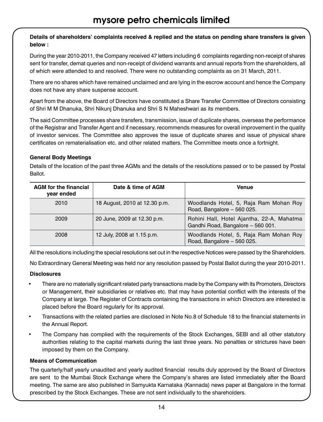### **Details of shareholders' complaints received & replied and the status on pending share transfers is given below :**

During the year 2010-2011, the Company received 47 letters including 6 complaints regarding non-receipt of shares sent for transfer, demat queries and non-receipt of dividend warrants and annual reports from the shareholders, all of which were attended to and resolved. There were no outstanding complaints as on 31 March, 2011.

There are no shares which have remained unclaimed and are lying in the escrow account and hence the Company does not have any share suspense account.

Apart from the above, the Board of Directors have constituted a Share Transfer Committee of Directors consisting of Shri M M Dhanuka, Shri Nikunj Dhanuka and Shri S N Maheshwari as its members.

The said Committee processes share transfers, transmission, issue of duplicate shares, overseas the performance of the Registrar and Transfer Agent and if necessary, recommends measures for overall improvement in the quality of investor services. The Committee also approves the issue of duplicate shares and issue of physical share certificates on rematerialisation etc. and other related matters. The Committee meets once a fortnight.

### **General Body Meetings**

| Ballot.                                    |                               |                                                                                |  |  |  |  |
|--------------------------------------------|-------------------------------|--------------------------------------------------------------------------------|--|--|--|--|
| <b>AGM</b> for the financial<br>year ended | Date & time of AGM            | Venue                                                                          |  |  |  |  |
| 2010                                       | 18 August, 2010 at 12.30 p.m. | Woodlands Hotel, 5, Raja Ram Mohan Roy<br>Road, Bangalore - 560 025.           |  |  |  |  |
| 2009                                       | 20 June, 2009 at 12.30 p.m.   | Rohini Hall, Hotel Ajantha, 22-A, Mahatma<br>Gandhi Road, Bangalore - 560 001. |  |  |  |  |

Details of the location of the past three AGMs and the details of the resolutions passed or to be passed by Postal Ballot.

All the resolutions including the special resolutions set out in the respective Notices were passed by the Shareholders.

2008 12 July, 2008 at 1.15 p.m. Woodlands Hotel, 5, Raja Ram Mohan Roy

Road, Bangalore – 560 025.

No Extraordinary General Meeting was held nor any resolution passed by Postal Ballot during the year 2010-2011.

### **Disclosures**

- There are no materially significant related party transactions made by the Company with its Promoters, Directors or Management, their subsidiaries or relatives etc. that may have potential conflict with the interests of the Company at large. The Register of Contracts containing the transactions in which Directors are interested is placed before the Board regularly for its approval.
- Transactions with the related parties are disclosed in Note No.8 of Schedule 18 to the financial statements in the Annual Report.
- The Company has complied with the requirements of the Stock Exchanges, SEBI and all other statutory authorities relating to the capital markets during the last three years. No penalties or strictures have been imposed by them on the Company.

### **Means of Communication**

The quarterly/half yearly unaudited and yearly audited financial results duly approved by the Board of Directors are sent to the Mumbai Stock Exchange where the Company's shares are listed immediately after the Board meeting. The same are also published in Samyukta Karnataka (Kannada) news paper at Bangalore in the format prescribed by the Stock Exchanges. These are not sent individually to the shareholders.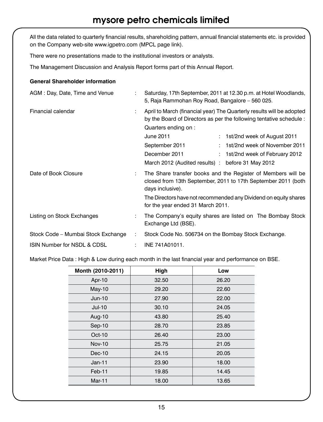All the data related to quarterly financial results, shareholding pattern, annual financial statements etc. is provided on the Company web-site www.igpetro.com (MPCL page link).

There were no presentations made to the institutional investors or analysts.

The Management Discussion and Analysis Report forms part of this Annual Report.

#### **General Shareholder information**

| AGM: Day, Date, Time and Venue     |   | Saturday, 17th September, 2011 at 12.30 p.m. at Hotel Woodlands,<br>5, Raja Rammohan Roy Road, Bangalore - 560 025.                                                                                                                                                                                                                                                          |  |
|------------------------------------|---|------------------------------------------------------------------------------------------------------------------------------------------------------------------------------------------------------------------------------------------------------------------------------------------------------------------------------------------------------------------------------|--|
| Financial calendar                 | ÷ | April to March (financial year) The Quarterly results will be adopted<br>by the Board of Directors as per the following tentative schedule :<br>Quarters ending on :<br>June 2011<br>: 1st/2nd week of August 2011<br>1st/2nd week of November 2011<br>September 2011<br>December 2011<br>1st/2nd week of February 2012<br>March 2012 (Audited results) : before 31 May 2012 |  |
| Date of Book Closure               | ÷ | The Share transfer books and the Register of Members will be<br>closed from 13th September, 2011 to 17th September 2011 (both<br>days inclusive).<br>The Directors have not recommended any Dividend on equity shares<br>for the year ended 31 March 2011.                                                                                                                   |  |
| Listing on Stock Exchanges         |   | The Company's equity shares are listed on The Bombay Stock<br>Exchange Ltd (BSE).                                                                                                                                                                                                                                                                                            |  |
| Stock Code - Mumbai Stock Exchange | ÷ | Stock Code No. 506734 on the Bombay Stock Exchange.                                                                                                                                                                                                                                                                                                                          |  |
| ISIN Number for NSDL & CDSL        |   | INE 741A01011.                                                                                                                                                                                                                                                                                                                                                               |  |
|                                    |   |                                                                                                                                                                                                                                                                                                                                                                              |  |

 Market Price Data : High & Low during each month in the last financial year and performance on BSE.

| Month (2010-2011) | High  | Low   |
|-------------------|-------|-------|
| Apr-10            | 32.50 | 26.20 |
| $May-10$          | 29.20 | 22.60 |
| $Jun-10$          | 27.90 | 22.00 |
| $Jul-10$          | 30.10 | 24.05 |
| Aug-10            | 43.80 | 25.40 |
| Sep-10            | 28.70 | 23.85 |
| $Oct-10$          | 26.40 | 23.00 |
| <b>Nov-10</b>     | 25.75 | 21.05 |
| $Dec-10$          | 24.15 | 20.05 |
| $Jan-11$          | 23.90 | 18.00 |
| Feb-11            | 19.85 | 14.45 |
| Mar-11            | 18.00 | 13.65 |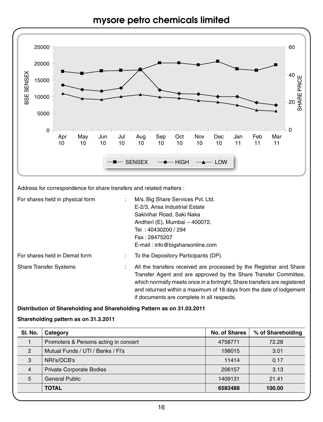



Address for correspondence for share transfers and related matters :

| For shares held in physical form | M/s. Big Share Services Pvt. Ltd.<br>٠<br>E-2/3. Ansa Industrial Estate<br>Sakivihar Road, Saki Naka<br>Andheri (E), Mumbai - 400072.<br>Tel: 40430200 / 294<br>Fax: 28475207<br>E-mail: info@bigshareonline.com                                                                                                                              |
|----------------------------------|-----------------------------------------------------------------------------------------------------------------------------------------------------------------------------------------------------------------------------------------------------------------------------------------------------------------------------------------------|
| For shares held in Demat form    | To the Depository Participants (DP).                                                                                                                                                                                                                                                                                                          |
| <b>Share Transfer Systems</b>    | All the transfers received are processed by the Registrar and Share<br>÷<br>Transfer Agent and are approved by the Share Transfer Committee.<br>which normally meets once in a fortnight. Share transfers are registered<br>and returned within a maximum of 18 days from the date of lodgement<br>if documents are complete in all respects. |

### **Distribution of Shareholding and Shareholding Pattern as on 31.03.2011**

### **Shareholding pattern as on 31.3.2011**

| SI. No.        | Category                              | No. of Shares | % of Shareholding |
|----------------|---------------------------------------|---------------|-------------------|
|                | Promoters & Persons acting in concert | 4758771       | 72.28             |
| $\overline{2}$ | Mutual Funds / UTI / Banks / Fl's     | 198015        | 3.01              |
| 3              | NRI's/OCB's                           | 11414         | 0.17              |
| $\overline{4}$ | <b>Private Corporate Bodies</b>       | 206157        | 3.13              |
| 5              | <b>General Public</b>                 | 1409131       | 21.41             |
|                | <b>TOTAL</b>                          | 6583488       | 100.00            |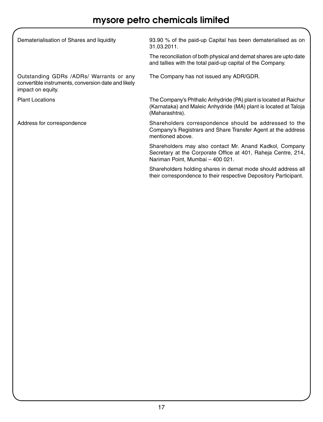| Dematerialisation of Shares and liquidity                                                                           | 93.90 % of the paid-up Capital has been dematerialised as on<br>31.03.2011.                                                                                  |
|---------------------------------------------------------------------------------------------------------------------|--------------------------------------------------------------------------------------------------------------------------------------------------------------|
|                                                                                                                     | The reconciliation of both physical and demat shares are upto date<br>and tallies with the total paid-up capital of the Company.                             |
| Outstanding GDRs /ADRs/ Warrants or any<br>convertible instruments, conversion date and likely<br>impact on equity. | The Company has not issued any ADR/GDR.                                                                                                                      |
| <b>Plant Locations</b>                                                                                              | The Company's Phthalic Anhydride (PA) plant is located at Raichur<br>(Karnataka) and Maleic Anhydride (MA) plant is located at Taloja<br>(Maharashtra).      |
| Address for correspondence                                                                                          | Shareholders correspondence should be addressed to the<br>Company's Registrars and Share Transfer Agent at the address<br>mentioned above.                   |
|                                                                                                                     | Shareholders may also contact Mr. Anand Kadkol, Company<br>Secretary at the Corporate Office at 401, Raheja Centre, 214,<br>Nariman Point, Mumbai - 400 021. |
|                                                                                                                     | Shareholders holding shares in demat mode should address all<br>their correspondence to their respective Depository Participant.                             |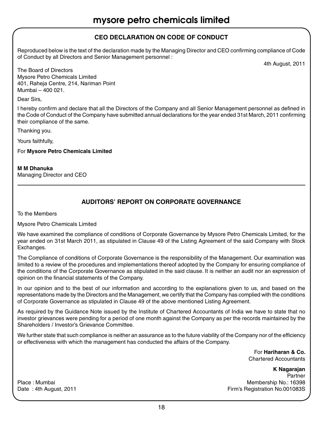### **CEO Declaration on Code of Conduct**

Reproduced below is the text of the declaration made by the Managing Director and CEO confirming compliance of Code of Conduct by all Directors and Senior Management personnel :

4th August, 2011

The Board of Directors Mysore Petro Chemicals Limited 401, Raheja Centre, 214, Nariman Point Mumbai – 400 021.

Dear Sirs,

I hereby confirm and declare that all the Directors of the Company and all Senior Management personnel as defined in the Code of Conduct of the Company have submitted annual declarations for the year ended 31st March, 2011 confirming their compliance of the same.

Thanking you.

Yours faithfully,

For **Mysore Petro Chemicals Limited**

**M M Dhanuka** Managing Director and CEO

### **Auditors' Report on Corporate Governance**

To the Members

Mysore Petro Chemicals Limited

We have examined the compliance of conditions of Corporate Governance by Mysore Petro Chemicals Limited, for the year ended on 31st March 2011, as stipulated in Clause 49 of the Listing Agreement of the said Company with Stock Exchanges.

The Compliance of conditions of Corporate Governance is the responsibility of the Management. Our examination was limited to a review of the procedures and implementations thereof adopted by the Company for ensuring compliance of the conditions of the Corporate Governance as stipulated in the said clause. It is neither an audit nor an expression of opinion on the financial statements of the Company.

In our opinion and to the best of our information and according to the explanations given to us, and based on the representations made by the Directors and the Management, we certify that the Company has complied with the conditions of Corporate Governance as stipulated in Clause 49 of the above mentioned Listing Agreement.

As required by the Guidance Note issued by the Institute of Chartered Accountants of India we have to state that no investor grievances were pending for a period of one month against the Company as per the records maintained by the Shareholders / Investor's Grievance Committee.

We further state that such compliance is neither an assurance as to the future viability of the Company nor of the efficiency or effectiveness with which the management has conducted the affairs of the Company.

> For **Hariharan & Co.**  Chartered Accountants

**K Nagarajan**  Partner Place : Mumbai Membership No.: 16398<br>Date : 4th August, 2011 Membership No.: 16398 Firm's Registration No.001083S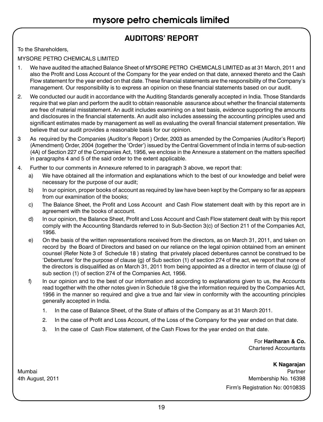### **AUDITORS' REPORT**

To the Shareholders,

MYSORE PETRO CHEMICALS LIMITED

- 1. We have audited the attached Balance Sheet of MYSORE PETRO CHEMICALS LIMITED as at 31 March, 2011 and also the Profit and Loss Account of the Company for the year ended on that date, annexed thereto and the Cash Flow statement for the year ended on that date. These financial statements are the responsibility of the Company's management. Our responsibility is to express an opinion on these financial statements based on our audit.
- 2. We conducted our audit in accordance with the Auditing Standards generally accepted in India. Those Standards require that we plan and perform the audit to obtain reasonable assurance about whether the financial statements are free of material misstatement. An audit includes examining on a test basis, evidence supporting the amounts and disclosures in the financial statements. An audit also includes assessing the accounting principles used and significant estimates made by management as well as evaluating the overall financial statement presentation. We believe that our audit provides a reasonable basis for our opinion.
- 3 As required by the Companies (Auditor's Report ) Order, 2003 as amended by the Companies (Auditor's Report) (Amendment) Order, 2004 (together the 'Order') issued by the Central Government of India in terms of sub-section (4A) of Section 227 of the Companies Act, 1956, we enclose in the Annexure a statement on the matters specified in paragraphs 4 and 5 of the said order to the extent applicable.
- 4. Further to our comments in Annexure referred to in paragraph 3 above, we report that:
	- a) We have obtained all the information and explanations which to the best of our knowledge and belief were necessary for the purpose of our audit;
	- b) In our opinion, proper books of account as required by law have been kept by the Company so far as appears from our examination of the books;
	- c) The Balance Sheet, the Profit and Loss Account and Cash Flow statement dealt with by this report are in agreement with the books of account.
	- d) In our opinion, the Balance Sheet, Profit and Loss Account and Cash Flow statement dealt with by this report comply with the Accounting Standards referred to in Sub-Section 3(c) of Section 211 of the Companies Act, 1956.
	- e) On the basis of the written representations received from the directors, as on March 31, 2011, and taken on record by the Board of Directors and based on our reliance on the legal opinion obtained from an eminent counsel (Refer Note 3 of Schedule 18 ) stating that privately placed debentures cannot be construed to be 'Debentures' for the purpose of clause (g) of Sub section (1) of section 274 of the act, we report that none of the directors is disqualified as on March 31, 2011 from being appointed as a director in term of clause (g) of sub section (1) of section 274 of the Companies Act, 1956.
	- f) In our opinion and to the best of our information and according to explanations given to us, the Accounts read together with the other notes given in Schedule 18 give the information required by the Companies Act, 1956 in the manner so required and give a true and fair view in conformity with the accounting principles generally accepted in India.
		- 1. In the case of Balance Sheet, of the State of affairs of the Company as at 31 March 2011.
		- 2. In the case of Profit and Loss Account, of the Loss of the Company for the year ended on that date.
		- 3. In the case of Cash Flow statement, of the Cash Flows for the year ended on that date.

For **Hariharan & Co.** Chartered Accountants

**K Nagarajan**  Mumbai Partner 4th August, 2011 **Membership No. 16398** Membership No. 16398 Firm's Registration No: 001083S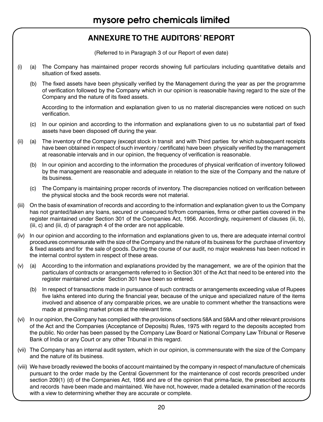### **ANNEXURE TO THE AUDITORS' REPORT**

(Referred to in Paragraph 3 of our Report of even date)

- (i) (a) The Company has maintained proper records showing full particulars including quantitative details and situation of fixed assets.
	- (b) The fixed assets have been physically verified by the Management during the year as per the programme of verification followed by the Company which in our opinion is reasonable having regard to the size of the Company and the nature of its fixed assets.

According to the information and explanation given to us no material discrepancies were noticed on such verification.

- (c) In our opinion and according to the information and explanations given to us no substantial part of fixed assets have been disposed off during the year.
- (ii) (a) The inventory of the Company (except stock in transit and with Third parties for which subsequent receipts have been obtained in respect of such inventory / certificate) have been physically verified by the management at reasonable intervals and in our opinion, the frequency of verification is reasonable.
	- (b) In our opinion and according to the information the procedures of physical verification of inventory followed by the management are reasonable and adequate in relation to the size of the Company and the nature of its business.
	- (c) The Company is maintaining proper records of inventory. The discrepancies noticed on verification between the physical stocks and the book records were not material.
- (iii) On the basis of examination of records and according to the information and explanation given to us the Company has not granted/taken any loans, secured or unsecured to/from companies, firms or other parties covered in the register maintained under Section 301 of the Companies Act, 1956. Accordingly, requirement of clauses (iii, b), (iii, c) and (iii, d) of paragraph 4 of the order are not applicable.
- (iv) In our opinion and according to the information and explanations given to us, there are adequate internal control procedures commensurate with the size of the Company and the nature of its business for the purchase of inventory & fixed assets and for the sale of goods. During the course of our audit, no major weakness has been noticed in the internal control system in respect of these areas.
- (v) (a) According to the information and explanations provided by the management, we are of the opinion that the particulars of contracts or arrangements referred to in Section 301 of the Act that need to be entered into the register maintained under Section 301 have been so entered.
	- (b) In respect of transactions made in pursuance of such contracts or arrangements exceeding value of Rupees five lakhs entered into during the financial year, because of the unique and specialized nature of the items involved and absence of any comparable prices, we are unable to comment whether the transactions were made at prevailing market prices at the relevant time.
- (vi) In our opinion, the Company has complied with the provisions of sections 58A and 58AA and other relevant provisions of the Act and the Companies (Acceptance of Deposits) Rules, 1975 with regard to the deposits accepted from the public. No order has been passed by the Company Law Board or National Company Law Tribunal or Reserve Bank of India or any Court or any other Tribunal in this regard.
- (vii) The Company has an internal audit system, which in our opinion, is commensurate with the size of the Company and the nature of its business.
- (viii) We have broadly reviewed the books of account maintained by the company in respect of manufacture of chemicals pursuant to the order made by the Central Government for the maintenance of cost records prescribed under section 209(1) (d) of the Companies Act, 1956 and are of the opinion that prima-facie, the prescribed accounts and records have been made and maintained. We have not, however, made a detailed examination of the records with a view to determining whether they are accurate or complete.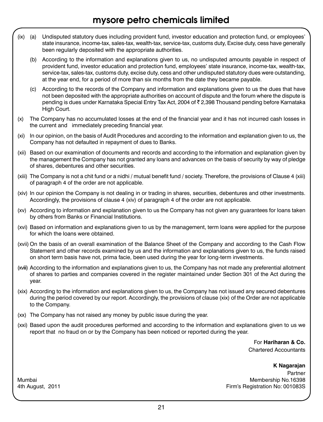- (ix) (a) Undisputed statutory dues including provident fund, investor education and protection fund, or employees' state insurance, income-tax, sales-tax, wealth-tax, service-tax, customs duty, Excise duty, cess have generally been regularly deposited with the appropriate authorities.
	- (b) According to the information and explanations given to us, no undisputed amounts payable in respect of provident fund, investor education and protection fund, employees' state insurance, income-tax, wealth-tax, service-tax, sales-tax, customs duty, excise duty, cess and other undisputed statutory dues were outstanding, at the year end, for a period of more than six months from the date they became payable.
	- (c) According to the records of the Company and information and explanations given to us the dues that have not been deposited with the appropriate authorities on account of dispute and the forum where the dispute is pending is dues under Karnataka Special Entry Tax Act, 2004 of ` 2,398 Thousand pending before Karnataka High Court.
- (x) The Company has no accumulated losses at the end of the financial year and it has not incurred cash losses in the current and immediately preceding financial year.
- (xi) In our opinion, on the basis of Audit Procedures and according to the information and explanation given to us, the Company has not defaulted in repayment of dues to Banks.
- (xii) Based on our examination of documents and records and according to the information and explanation given by the management the Company has not granted any loans and advances on the basis of security by way of pledge of shares, debentures and other securities.
- (xiii) The Company is not a chit fund or a nidhi / mutual benefit fund / society. Therefore, the provisions of Clause 4 (xiii) of paragraph 4 of the order are not applicable.
- (xiv) In our opinion the Company is not dealing in or trading in shares, securities, debentures and other investments. Accordingly, the provisions of clause 4 (xiv) of paragraph 4 of the order are not applicable.
- (xv) According to information and explanation given to us the Company has not given any guarantees for loans taken by others from Banks or Financial Institutions.
- (xvi) Based on information and explanations given to us by the management, term loans were applied for the purpose for which the loans were obtained.
- (xvii) On the basis of an overall examination of the Balance Sheet of the Company and according to the Cash Flow Statement and other records examined by us and the information and explanations given to us, the funds raised on short term basis have not, prima facie, been used during the year for long-term investments.
- (xviii) According to the information and explanations given to us, the Company has not made any preferential allotment of shares to parties and companies covered in the register maintained under Section 301 of the Act during the year.
- (xix) According to the information and explanations given to us, the Company has not issued any secured debentures during the period covered by our report. Accordingly, the provisions of clause (xix) of the Order are not applicable to the Company.
- (xx) The Company has not raised any money by public issue during the year.
- (xxi) Based upon the audit procedures performed and according to the information and explanations given to us we report that no fraud on or by the Company has been noticed or reported during the year.

For **Hariharan & Co.** Chartered Accountants

**K Nagarajan**

Partner Mumbai Membership No.16398 4th August, 2011 **Firm's Registration No: 001083S**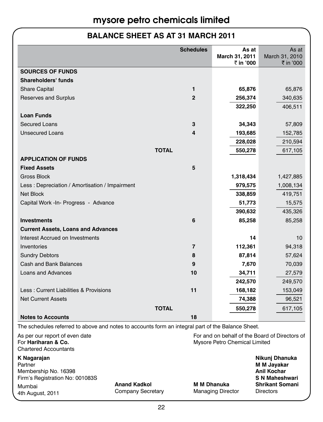### **BALANCE SHEET AS AT 31 MARCH 2011**

|                                                                                                   | <b>Schedules</b> | As at                                          | As at                         |
|---------------------------------------------------------------------------------------------------|------------------|------------------------------------------------|-------------------------------|
|                                                                                                   |                  | March 31, 2011<br>₹ in '000                    | March 31, 2010<br>₹ in '000   |
| <b>SOURCES OF FUNDS</b>                                                                           |                  |                                                |                               |
| <b>Shareholders' funds</b>                                                                        |                  |                                                |                               |
| <b>Share Capital</b>                                                                              | 1                | 65,876                                         | 65,876                        |
| Reserves and Surplus                                                                              | $\overline{2}$   | 256,374                                        | 340,635                       |
|                                                                                                   |                  | 322,250                                        | 406,511                       |
| <b>Loan Funds</b>                                                                                 |                  |                                                |                               |
| <b>Secured Loans</b>                                                                              | 3                | 34,343                                         | 57,809                        |
| <b>Unsecured Loans</b>                                                                            | 4                | 193,685                                        | 152,785                       |
|                                                                                                   |                  | 228,028                                        | 210,594                       |
| <b>TOTAL</b>                                                                                      |                  | 550,278                                        | 617,105                       |
| <b>APPLICATION OF FUNDS</b>                                                                       |                  |                                                |                               |
| <b>Fixed Assets</b>                                                                               | 5                |                                                |                               |
| <b>Gross Block</b>                                                                                |                  | 1,318,434                                      | 1,427,885                     |
| Less: Depreciation / Amortisation / Impairment                                                    |                  | 979,575                                        | 1,008,134                     |
| <b>Net Block</b>                                                                                  |                  | 338,859                                        | 419,751                       |
| Capital Work - In- Progress - Advance                                                             |                  | 51,773                                         | 15,575                        |
|                                                                                                   |                  | 390,632                                        | 435,326                       |
| <b>Investments</b>                                                                                | 6                | 85,258                                         | 85,258                        |
| <b>Current Assets, Loans and Advances</b>                                                         |                  |                                                |                               |
| Interest Accrued on Investments                                                                   |                  | 14                                             | 10                            |
| Inventories                                                                                       | $\overline{7}$   | 112,361                                        | 94,318                        |
| <b>Sundry Debtors</b>                                                                             | 8                | 87,814                                         | 57,624                        |
| <b>Cash and Bank Balances</b>                                                                     | 9                | 7,670                                          | 70,039                        |
| <b>Loans and Advances</b>                                                                         | 10               | 34,711                                         | 27,579                        |
|                                                                                                   |                  | 242,570                                        | 249,570                       |
| Less: Current Liabilities & Provisions                                                            | 11               | 168,182                                        | 153,049                       |
| <b>Net Current Assets</b>                                                                         |                  | 74,388                                         | 96,521                        |
| <b>TOTAL</b>                                                                                      |                  | 550,278                                        | 617,105                       |
| <b>Notes to Accounts</b>                                                                          | 18               |                                                |                               |
| The schedules referred to above and notes to accounts form an integral part of the Balance Sheet. |                  |                                                |                               |
| As per our report of even date                                                                    |                  | For and on behalf of the Board of Directors of |                               |
| For Hariharan & Co.<br><b>Chartered Accountants</b>                                               |                  | Mysore Petro Chemical Limited                  |                               |
|                                                                                                   |                  |                                                |                               |
| K Nagarajan<br>Partner                                                                            |                  |                                                | Nikunj Dhanuka<br>M M Jayakar |
| Membership No. 16398                                                                              |                  |                                                | Anil Kochar                   |
| Firm's Registration No: 001083S                                                                   |                  |                                                | <b>S N Maheshwari</b>         |

4th August, 2011

Mumbai **Anand Kadkol M M Dhanuka Shrikant Somani**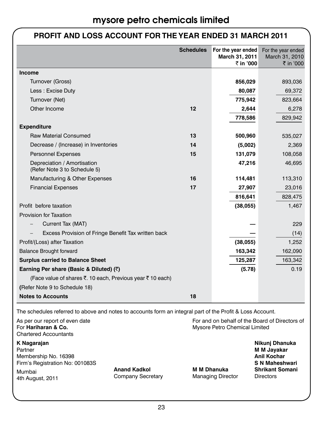### **PROFIT AND LOSS ACCOUNT FOR THE YEAR ENDED 31 MARCH 2011**

|                                                             | <b>Schedules</b> | For the year ended<br>March 31, 2011 | For the year ended<br>March 31, 2010 |
|-------------------------------------------------------------|------------------|--------------------------------------|--------------------------------------|
| Income                                                      |                  | ₹ in '000                            | ₹ in '000                            |
| Turnover (Gross)                                            |                  | 856,029                              | 893,036                              |
| Less: Excise Duty                                           |                  | 80,087                               | 69,372                               |
|                                                             |                  |                                      |                                      |
| Turnover (Net)<br>Other Income                              |                  | 775,942                              | 823,664                              |
|                                                             | 12               | 2,644                                | 6,278                                |
|                                                             |                  | 778,586                              | 829,942                              |
| <b>Expenditure</b>                                          |                  |                                      |                                      |
| <b>Raw Material Consumed</b>                                | 13               | 500,960                              | 535,027                              |
| Decrease / (Increase) in Inventories                        | 14               | (5,002)                              | 2,369                                |
| <b>Personnel Expenses</b>                                   | 15               | 131,079                              | 108,058                              |
| Depreciation / Amortisation<br>(Refer Note 3 to Schedule 5) |                  | 47,216                               | 46,695                               |
| Manufacturing & Other Expenses                              | 16               | 114,481                              | 113,310                              |
| <b>Financial Expenses</b>                                   | 17               | 27,907                               | 23,016                               |
|                                                             |                  | 816,641                              | 828,475                              |
| Profit before taxation                                      |                  | (38,055)                             | 1,467                                |
| <b>Provision for Taxation</b>                               |                  |                                      |                                      |
| Current Tax (MAT)                                           |                  |                                      | 229                                  |
| Excess Provision of Fringe Benefit Tax written back         |                  |                                      | (14)                                 |
| Profit/(Loss) after Taxation                                |                  | (38,055)                             | 1,252                                |
| <b>Balance Brought forward</b>                              |                  | 163,342                              | 162,090                              |
| <b>Surplus carried to Balance Sheet</b>                     |                  | 125,287                              | 163,342                              |
| Earning Per share (Basic & Diluted) (₹)                     |                  | (5.78)                               | 0.19                                 |
| (Face value of shares ₹. 10 each, Previous year ₹ 10 each)  |                  |                                      |                                      |
| (Refer Note 9 to Schedule 18)                               |                  |                                      |                                      |
| <b>Notes to Accounts</b>                                    | 18               |                                      |                                      |

The schedules referred to above and notes to accounts form an integral part of the Profit & Loss Account.

| As per our report of even date<br>For Hariharan & Co.<br><b>Chartered Accountants</b> |                                          | For and on behalf of the Board of Directors of<br>Mysore Petro Chemical Limited |                                                                                                        |  |
|---------------------------------------------------------------------------------------|------------------------------------------|---------------------------------------------------------------------------------|--------------------------------------------------------------------------------------------------------|--|
| K Nagarajan<br>Partner<br>Membership No. 16398<br>Firm's Registration No: 001083S     |                                          | <b>M M Dhanuka</b>                                                              | Nikunj Dhanuka<br>M M Jayakar<br><b>Anil Kochar</b><br><b>S N Maheshwari</b><br><b>Shrikant Somani</b> |  |
| Mumbai<br>4th August, 2011                                                            | <b>Anand Kadkol</b><br>Company Secretary | <b>Managing Director</b>                                                        | <b>Directors</b>                                                                                       |  |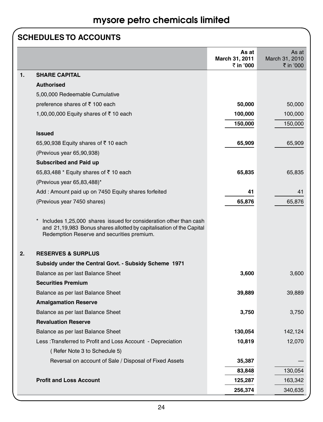### **SCHEDULES TO ACCOUNTS**

|                             |                                                                                                                                                                                         | As at<br>March 31, 2011<br>₹ in '000 | As at<br>March 31, 2010<br>₹ in '000 |
|-----------------------------|-----------------------------------------------------------------------------------------------------------------------------------------------------------------------------------------|--------------------------------------|--------------------------------------|
| 1.<br><b>SHARE CAPITAL</b>  |                                                                                                                                                                                         |                                      |                                      |
| <b>Authorised</b>           |                                                                                                                                                                                         |                                      |                                      |
|                             | 5,00,000 Redeemable Cumulative                                                                                                                                                          |                                      |                                      |
|                             | preference shares of ₹ 100 each                                                                                                                                                         | 50,000                               | 50,000                               |
|                             | 1,00,00,000 Equity shares of ₹10 each                                                                                                                                                   | 100,000                              | 100,000                              |
|                             |                                                                                                                                                                                         | 150,000                              | 150,000                              |
| <b>Issued</b>               |                                                                                                                                                                                         |                                      |                                      |
|                             | 65,90,938 Equity shares of $\bar{z}$ 10 each                                                                                                                                            | 65,909                               | 65,909                               |
|                             | (Previous year 65,90,938)                                                                                                                                                               |                                      |                                      |
|                             | <b>Subscribed and Paid up</b>                                                                                                                                                           |                                      |                                      |
|                             | 65,83,488 * Equity shares of ₹10 each                                                                                                                                                   | 65,835                               | 65,835                               |
|                             | (Previous year $65,83,488$ )*                                                                                                                                                           |                                      |                                      |
|                             | Add: Amount paid up on 7450 Equity shares forfeited                                                                                                                                     | 41                                   | 41                                   |
|                             | (Previous year 7450 shares)                                                                                                                                                             | 65,876                               | 65,876                               |
|                             | Includes 1,25,000 shares issued for consideration other than cash<br>and 21,19,983 Bonus shares allotted by capitalisation of the Capital<br>Redemption Reserve and securities premium. |                                      |                                      |
| 2.                          | <b>RESERVES &amp; SURPLUS</b>                                                                                                                                                           |                                      |                                      |
|                             | Subsidy under the Central Govt. - Subsidy Scheme 1971                                                                                                                                   |                                      |                                      |
|                             | Balance as per last Balance Sheet                                                                                                                                                       | 3,600                                | 3,600                                |
| <b>Securities Premium</b>   |                                                                                                                                                                                         |                                      |                                      |
|                             | Balance as per last Balance Sheet                                                                                                                                                       | 39,889                               | 39,889                               |
| <b>Amalgamation Reserve</b> |                                                                                                                                                                                         |                                      |                                      |
|                             | Balance as per last Balance Sheet                                                                                                                                                       | 3,750                                | 3,750                                |
| <b>Revaluation Reserve</b>  |                                                                                                                                                                                         |                                      |                                      |
|                             | Balance as per last Balance Sheet                                                                                                                                                       | 130,054                              | 142,124                              |
|                             | Less: Transferred to Profit and Loss Account - Depreciation                                                                                                                             | 10,819                               | 12,070                               |
|                             | (Refer Note 3 to Schedule 5)                                                                                                                                                            |                                      |                                      |
|                             | Reversal on account of Sale / Disposal of Fixed Assets                                                                                                                                  | 35,387                               |                                      |
|                             |                                                                                                                                                                                         | 83,848                               | 130,054                              |
|                             | <b>Profit and Loss Account</b>                                                                                                                                                          | 125,287                              | 163,342                              |
|                             |                                                                                                                                                                                         | 256,374                              | 340,635                              |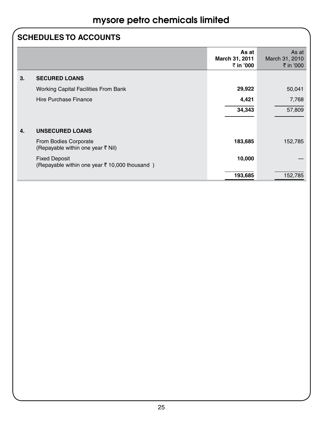### **SCHEDULES TO ACCOUNTS**

|    |                                                                       | As at<br>March 31, 2011<br>₹ in '000 | As at<br>March 31, 2010<br>₹ in '000 |
|----|-----------------------------------------------------------------------|--------------------------------------|--------------------------------------|
| 3. | <b>SECURED LOANS</b>                                                  |                                      |                                      |
|    | <b>Working Capital Facilities From Bank</b>                           | 29,922                               | 50,041                               |
|    | Hire Purchase Finance                                                 | 4,421                                | 7,768                                |
|    |                                                                       | 34,343                               | 57,809                               |
|    |                                                                       |                                      |                                      |
| 4. | <b>UNSECURED LOANS</b>                                                |                                      |                                      |
|    | From Bodies Corporate<br>(Repayable within one year ₹ Nil)            | 183,685                              | 152,785                              |
|    | <b>Fixed Deposit</b><br>(Repayable within one year ₹ 10,000 thousand) | 10,000                               |                                      |
|    |                                                                       | 193,685                              | 152,785                              |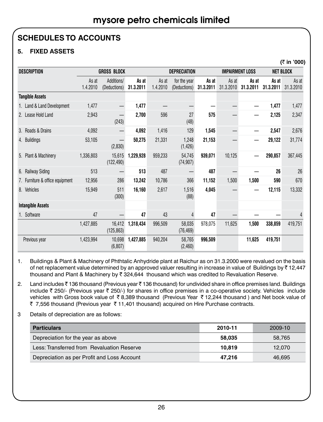**(**` **in '000)**

### **SCHEDULES TO ACCOUNTS**

### **5. FIXED ASSETS**

|                                  |                    |                                   |                    |                     |                              |                    |                    |                        |                    | נטטט וווי          |
|----------------------------------|--------------------|-----------------------------------|--------------------|---------------------|------------------------------|--------------------|--------------------|------------------------|--------------------|--------------------|
| <b>DESCRIPTION</b>               | <b>GROSS BLOCK</b> |                                   |                    | <b>DEPRECIATION</b> |                              |                    |                    | <b>IMPAIRMENT LOSS</b> |                    | <b>NET BLOCK</b>   |
|                                  | As at<br>1.4.2010  | Additions/<br>(Deductions)        | As at<br>31.3.2011 | As at<br>1.4.2010   | for the year<br>(Deductions) | As at<br>31.3.2011 | As at<br>31.3.2010 | As at<br>31.3.2011     | As at<br>31.3.2011 | As at<br>31.3.2010 |
| <b>Tangible Assets</b>           |                    |                                   |                    |                     |                              |                    |                    |                        |                    |                    |
| 1. Land & Land Development       | 1,477              | —                                 | 1,477              |                     |                              |                    |                    |                        | 1,477              | 1,477              |
| Lease Hold Land<br>2.            | 2,943              | $\overline{\phantom{0}}$<br>(243) | 2,700              | 596                 | 27<br>(48)                   | 575                |                    |                        | 2,125              | 2,347              |
| Roads & Drains<br>3 <sub>1</sub> | 4,092              |                                   | 4,092              | 1,416               | 129                          | 1,545              |                    |                        | 2,547              | 2,676              |
| 4. Buildings                     | 53,105             | (2,830)                           | 50.275             | 21.331              | 1,248<br>(1, 426)            | 21,153             |                    |                        | 29,122             | 31,774             |
| 5. Plant & Machinery             | 1,336,803          | 15,615<br>(122, 490)              | 1,229,928          | 959,233             | 54,745<br>(74, 907)          | 939,071            | 10,125             |                        | 290,857            | 367,445            |
| <b>Railway Siding</b><br>6.      | 513                |                                   | 513                | 487                 |                              | 487                |                    |                        | 26                 | 26                 |
| 7. Furniture & office equipment  | 12,956             | 286                               | 13,242             | 10,786              | 366                          | 11,152             | 1,500              | 1,500                  | 590                | 670                |
| Vehicles<br>8.                   | 15,949             | 511<br>(300)                      | 16,160             | 2,617               | 1,516<br>(88)                | 4,045              |                    | —                      | 12,115             | 13,332             |
| <b>Intangible Assets</b>         |                    |                                   |                    |                     |                              |                    |                    |                        |                    |                    |
| Software                         | 47                 |                                   | 47                 | 43                  | 4                            | 47                 |                    |                        |                    | 4                  |
|                                  | 1,427,885          | 16.412<br>(125, 863)              | 1,318,434          | 996,509             | 58.035<br>(76, 469)          | 978,075            | 11,625             | 1,500                  | 338,859            | 419,751            |
| Previous year                    | 1,423,994          | 10,698<br>(6, 807)                | 1,427,885          | 940,204             | 58,765<br>(2,460)            | 996,509            |                    | 11,625                 | 419,751            |                    |

1. Buildings & Plant & Machinery of Phthtalic Anhydride plant at Raichur as on 31.3.2000 were revalued on the basis of net replacement value determined by an approved valuer resulting in increase in value of Buildings by  $\bar{z}$  12,447 thousand and Plant & Machinery by  $\bar{\tau}$  324,644 thousand which was credited to Revaluation Reserve.

2. Land includes ₹ 136 thousand (Previous year ₹ 136 thousand) for undivided share in office premises land. Buildings include  $\bar{z}$  250/- (Previous year  $\bar{z}$  250/-) for shares in office premises in a co-operative society. Vehicles include vehicles with Gross book value of ₹8,389 thousand (Previous Year ₹12,244 thousand) and Net book value of ₹ 7,556 thousand (Previous year ₹ 11,401 thousand) acquired on Hire Purchase contracts.

3 Details of depreciation are as follows:

| <b>Particulars</b>                          | 2010-11 | 2009-10 |
|---------------------------------------------|---------|---------|
| Depreciation for the year as above          | 58.035  | 58.765  |
| Less: Transferred from Revaluation Reserve  | 10.819  | 12.070  |
| Depreciation as per Profit and Loss Account | 47.216  | 46.695  |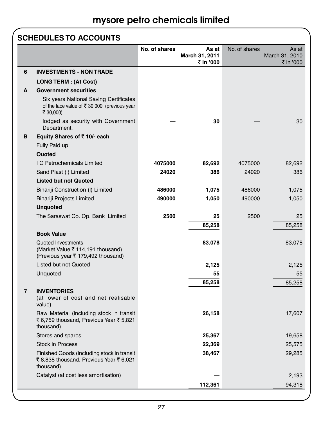### **SCHEDULES TO ACCOUNTS**

|                |                                                                                                      | No. of shares | As at                       | No. of shares | As at                       |
|----------------|------------------------------------------------------------------------------------------------------|---------------|-----------------------------|---------------|-----------------------------|
|                |                                                                                                      |               | March 31, 2011<br>₹ in '000 |               | March 31, 2010<br>₹ in '000 |
| 6              | <b>INVESTMENTS - NON TRADE</b>                                                                       |               |                             |               |                             |
|                | <b>LONG TERM : (At Cost)</b>                                                                         |               |                             |               |                             |
| A              | <b>Government securities</b>                                                                         |               |                             |               |                             |
|                | Six years National Saving Certificates<br>of the face value of ₹ 30,000 (previous year<br>₹ 30,000)  |               |                             |               |                             |
|                | lodged as security with Government<br>Department.                                                    |               | 30                          |               | 30                          |
| B              | Equity Shares of ₹10/- each                                                                          |               |                             |               |                             |
|                | Fully Paid up                                                                                        |               |                             |               |                             |
|                | Quoted                                                                                               |               |                             |               |                             |
|                | I G Petrochemicals Limited                                                                           | 4075000       | 82,692                      | 4075000       | 82,692                      |
|                | Sand Plast (I) Limited                                                                               | 24020         | 386                         | 24020         | 386                         |
|                | <b>Listed but not Quoted</b>                                                                         |               |                             |               |                             |
|                | Bihariji Construction (I) Limited                                                                    | 486000        | 1,075                       | 486000        | 1,075                       |
|                | Bihariji Projects Limited                                                                            | 490000        | 1,050                       | 490000        | 1,050                       |
|                | <b>Unquoted</b>                                                                                      |               |                             |               |                             |
|                | The Saraswat Co. Op. Bank Limited                                                                    | 2500          | 25                          | 2500          | 25                          |
|                |                                                                                                      |               | 85,258                      |               | 85,258                      |
|                | <b>Book Value</b>                                                                                    |               |                             |               |                             |
|                | <b>Quoted Investments</b><br>(Market Value ₹ 114,191 thousand)<br>(Previous year ₹ 179,492 thousand) |               | 83,078                      |               | 83,078                      |
|                | Listed but not Quoted                                                                                |               | 2,125                       |               | 2,125                       |
|                | Unquoted                                                                                             |               | 55                          |               | 55                          |
|                |                                                                                                      |               | 85,258                      |               | 85,258                      |
| $\overline{7}$ | <b>INVENTORIES</b><br>(at lower of cost and net realisable<br>value)                                 |               |                             |               |                             |
|                | Raw Material (including stock in transit<br>₹6,759 thousand, Previous Year ₹5,821<br>thousand)       |               | 26,158                      |               | 17,607                      |
|                | Stores and spares                                                                                    |               | 25,367                      |               | 19,658                      |
|                | <b>Stock in Process</b>                                                                              |               | 22,369                      |               | 25,575                      |
|                | Finished Goods (including stock in transit<br>₹8,838 thousand, Previous Year ₹6,021<br>thousand)     |               | 38,467                      |               | 29,285                      |
|                | Catalyst (at cost less amortisation)                                                                 |               |                             |               | 2.193                       |
|                |                                                                                                      |               | 112,361                     |               | 94,318                      |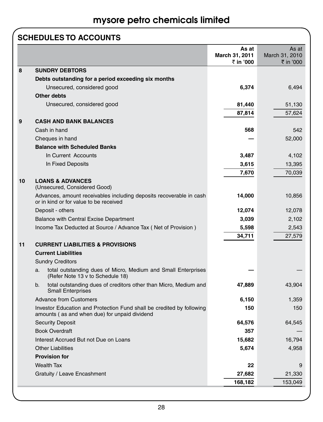### **SCHEDULES TO ACCOUNTS**

|    |                                                                                                                        | As at<br>March 31, 2011<br>₹ in '000 | As at<br>March 31, 2010<br>₹ in '000 |
|----|------------------------------------------------------------------------------------------------------------------------|--------------------------------------|--------------------------------------|
| 8  | <b>SUNDRY DEBTORS</b>                                                                                                  |                                      |                                      |
|    | Debts outstanding for a period exceeding six months                                                                    |                                      |                                      |
|    | Unsecured, considered good                                                                                             | 6,374                                | 6,494                                |
|    | <b>Other debts</b>                                                                                                     |                                      |                                      |
|    | Unsecured, considered good                                                                                             | 81,440                               | 51,130                               |
|    |                                                                                                                        | 87,814                               | 57,624                               |
| 9  | <b>CASH AND BANK BALANCES</b>                                                                                          |                                      |                                      |
|    | Cash in hand                                                                                                           | 568                                  | 542                                  |
|    | Cheques in hand                                                                                                        |                                      | 52,000                               |
|    | <b>Balance with Scheduled Banks</b>                                                                                    |                                      |                                      |
|    | In Current Accounts                                                                                                    | 3,487                                | 4,102                                |
|    | In Fixed Deposits                                                                                                      | 3,615                                | 13,395                               |
|    |                                                                                                                        | 7,670                                | 70,039                               |
| 10 | <b>LOANS &amp; ADVANCES</b><br>(Unsecured, Considered Good)                                                            |                                      |                                      |
|    | Advances, amount receivables including deposits recoverable in cash<br>or in kind or for value to be received          | 14,000                               | 10,856                               |
|    | Deposit - others                                                                                                       | 12,074                               | 12,078                               |
|    | <b>Balance with Central Excise Department</b>                                                                          | 3,039                                | 2,102                                |
|    | Income Tax Deducted at Source / Advance Tax (Net of Provision)                                                         | 5,598                                | 2,543                                |
|    |                                                                                                                        | 34,711                               | 27,579                               |
| 11 | <b>CURRENT LIABILITIES &amp; PROVISIONS</b>                                                                            |                                      |                                      |
|    | <b>Current Liabilities</b>                                                                                             |                                      |                                      |
|    | <b>Sundry Creditors</b>                                                                                                |                                      |                                      |
|    | total outstanding dues of Micro, Medium and Small Enterprises<br>a.<br>(Refer Note 13 v to Schedule 18)                |                                      |                                      |
|    | total outstanding dues of creditors other than Micro, Medium and<br>b.<br><b>Small Enterprises</b>                     | 47,889                               | 43,904                               |
|    | <b>Advance from Customers</b>                                                                                          | 6,150                                | 1,359                                |
|    | Investor Education and Protection Fund shall be credited by following<br>amounts (as and when due) for unpaid dividend | 150                                  | 150                                  |
|    | <b>Security Deposit</b>                                                                                                | 64,576                               | 64,545                               |
|    | <b>Book Overdraft</b>                                                                                                  | 357                                  |                                      |
|    | Interest Accrued But not Due on Loans                                                                                  | 15,682                               | 16,794                               |
|    | <b>Other Liabilities</b>                                                                                               | 5,674                                | 4,958                                |
|    | <b>Provision for</b>                                                                                                   |                                      |                                      |
|    | <b>Wealth Tax</b>                                                                                                      | 22                                   | 9                                    |
|    | Gratuity / Leave Encashment                                                                                            | 27,682                               | 21,330                               |
|    |                                                                                                                        | 168,182                              | 153,049                              |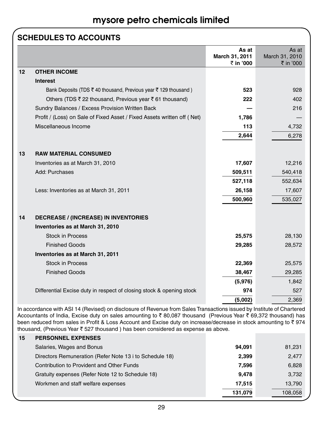### **SCHEDULES TO ACCOUNTS**

|    |                                                                         | As at<br>March 31, 2011<br>₹ in '000 | As at<br>March 31, 2010<br>₹ in '000 |
|----|-------------------------------------------------------------------------|--------------------------------------|--------------------------------------|
| 12 | <b>OTHER INCOME</b>                                                     |                                      |                                      |
|    | <b>Interest</b>                                                         |                                      |                                      |
|    | Bank Deposits (TDS ₹40 thousand, Previous year ₹129 thousand)           | 523                                  | 928                                  |
|    | Others (TDS ₹ 22 thousand, Previous year ₹ 61 thousand)                 | 222                                  | 402                                  |
|    | Sundry Balances / Excess Provision Written Back                         |                                      | 216                                  |
|    | Profit / (Loss) on Sale of Fixed Asset / Fixed Assets written off (Net) | 1,786                                |                                      |
|    | Miscellaneous Income                                                    | 113                                  | 4,732                                |
|    |                                                                         | 2,644                                | 6,278                                |
|    |                                                                         |                                      |                                      |
| 13 | <b>RAW MATERIAL CONSUMED</b>                                            |                                      |                                      |
|    | Inventories as at March 31, 2010                                        | 17,607                               | 12,216                               |
|    | Add: Purchases                                                          | 509,511                              | 540,418                              |
|    |                                                                         | 527,118                              | 552,634                              |
|    | Less: Inventories as at March 31, 2011                                  | 26,158                               | 17,607                               |
|    |                                                                         | 500,960                              | 535,027                              |
| 14 |                                                                         |                                      |                                      |
|    | <b>DECREASE / (INCREASE) IN INVENTORIES</b>                             |                                      |                                      |
|    | Inventories as at March 31, 2010<br><b>Stock in Process</b>             |                                      |                                      |
|    | <b>Finished Goods</b>                                                   | 25,575                               | 28,130                               |
|    |                                                                         | 29,285                               | 28,572                               |
|    | Inventories as at March 31, 2011                                        |                                      |                                      |
|    | <b>Stock in Process</b>                                                 | 22,369                               | 25,575                               |
|    | <b>Finished Goods</b>                                                   | 38,467                               | 29,285                               |
|    |                                                                         | (5,976)                              | 1,842                                |
|    | Differential Excise duty in respect of closing stock & opening stock    | 974                                  | 527                                  |
|    |                                                                         | (5,002)                              | 2,369                                |

In accordance with ASI 14 (Revised) on disclosure of Revenue from Sales Transactions issued by Institute of Chartered Accountants of India, Excise duty on sales amounting to ₹80,087 thousand (Previous Year ₹69,372 thousand) has been reduced from sales in Profit & Loss Account and Excise duty on increase/decrease in stock amounting to ₹974 thousand, (Previous Year  $\bar{\tau}$  527 thousand ) has been considered as expense as above.

| 15 | <b>PERSONNEL EXPENSES</b>                               |         |         |
|----|---------------------------------------------------------|---------|---------|
|    | Salaries, Wages and Bonus                               | 94.091  | 81,231  |
|    | Directors Remuneration (Refer Note 13 i to Schedule 18) | 2.399   | 2,477   |
|    | Contribution to Provident and Other Funds               | 7,596   | 6,828   |
|    | Gratuity expenses (Refer Note 12 to Schedule 18)        | 9.478   | 3,732   |
|    | Workmen and staff welfare expenses                      | 17.515  | 13,790  |
|    |                                                         | 131,079 | 108.058 |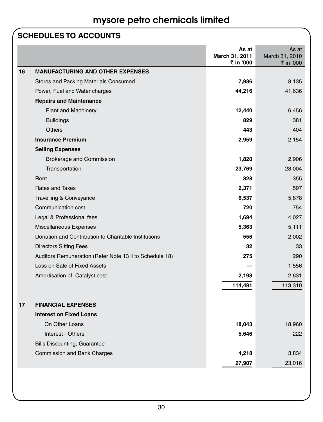### **SCHEDULES TO ACCOUNTS**

|    |                                                         | As at<br>March 31, 2011<br>₹ in '000 | As at<br>March 31, 2010<br>₹ in '000 |
|----|---------------------------------------------------------|--------------------------------------|--------------------------------------|
| 16 | <b>MANUFACTURING AND OTHER EXPENSES</b>                 |                                      |                                      |
|    | Stores and Packing Materials Consumed                   | 7,936                                | 8,135                                |
|    | Power, Fuel and Water charges                           | 44,216                               | 41,636                               |
|    | <b>Repairs and Maintenance</b>                          |                                      |                                      |
|    | <b>Plant and Machinery</b>                              | 12,440                               | 6,456                                |
|    | <b>Buildings</b>                                        | 829                                  | 381                                  |
|    | <b>Others</b>                                           | 443                                  | 404                                  |
|    | <b>Insurance Premium</b>                                | 2,959                                | 2,154                                |
|    | <b>Selling Expenses</b>                                 |                                      |                                      |
|    | Brokerage and Commission                                | 1,820                                | 2,906                                |
|    | Transportation                                          | 23,769                               | 28,004                               |
|    | Rent                                                    | 328                                  | 355                                  |
|    | <b>Rates and Taxes</b>                                  | 2,371                                | 597                                  |
|    | Travelling & Conveyance                                 | 6,537                                | 5,878                                |
|    | Communication cost                                      | 720                                  | 754                                  |
|    | Legal & Professional fees                               | 1,694                                | 4,027                                |
|    | Miscellaneous Expenses                                  | 5,363                                | 5,111                                |
|    | Donation and Contribution to Charitable Institutions    | 556                                  | 2,002                                |
|    | <b>Directors Sitting Fees</b>                           | 32                                   | 33                                   |
|    | Auditors Remuneration (Refer Note 13 ii to Schedule 18) | 275                                  | 290                                  |
|    | Loss on Sale of Fixed Assets                            |                                      | 1,556                                |
|    | Amortisation of Catalyst cost                           | 2,193                                | 2,631                                |
|    |                                                         | 114,481                              | 113,310                              |
|    |                                                         |                                      |                                      |
| 17 | <b>FINANCIAL EXPENSES</b>                               |                                      |                                      |
|    | <b>Interest on Fixed Loans</b>                          |                                      |                                      |
|    | On Other Loans                                          | 18,043                               | 18,960                               |
|    | Interest - Others                                       | 5,646                                | 222                                  |
|    | <b>Bills Discounting, Guarantee</b>                     |                                      |                                      |
|    | Commission and Bank Charges                             | 4,218                                | 3,834                                |
|    |                                                         | 27,907                               | 23,016                               |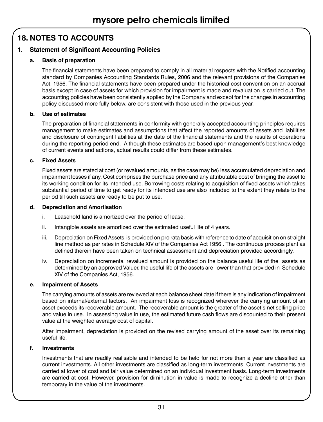### **18. NOTES TO ACCOUNTS**

### **1. Statement of Significant Accounting Policies**

### **a. Basis of preparation**

The financial statements have been prepared to comply in all material respects with the Notified accounting standard by Companies Accounting Standards Rules, 2006 and the relevant provisions of the Companies Act, 1956. The financial statements have been prepared under the historical cost convention on an accrual basis except in case of assets for which provision for impairment is made and revaluation is carried out. The accounting policies have been consistently applied by the Company and except for the changes in accounting policy discussed more fully below, are consistent with those used in the previous year.

### **b. Use of estimates**

The preparation of financial statements in conformity with generally accepted accounting principles requires management to make estimates and assumptions that affect the reported amounts of assets and liabilities and disclosure of contingent liabilities at the date of the financial statements and the results of operations during the reporting period end. Although these estimates are based upon management's best knowledge of current events and actions, actual results could differ from these estimates.

### **c. Fixed Assets**

Fixed assets are stated at cost (or revalued amounts, as the case may be) less accumulated depreciation and impairment losses if any. Cost comprises the purchase price and any attributable cost of bringing the asset to its working condition for its intended use. Borrowing costs relating to acquisition of fixed assets which takes substantial period of time to get ready for its intended use are also included to the extent they relate to the period till such assets are ready to be put to use.

### **d. Depreciation and Amortisation**

- i. Leasehold land is amortized over the period of lease.
- ii. Intangible assets are amortized over the estimated useful life of 4 years.
- iii. Depreciation on Fixed Assets is provided on pro rata basis with reference to date of acquisition on straight line method as per rates in Schedule XIV of the Companies Act 1956 . The continuous process plant as defined therein have been taken on technical assessment and depreciation provided accordingly.
- iv. Depreciation on incremental revalued amount is provided on the balance useful life of the assets as determined by an approved Valuer, the useful life of the assets are lower than that provided in Schedule XIV of the Companies Act, 1956.

### **e. Impairment of Assets**

The carrying amounts of assets are reviewed at each balance sheet date if there is any indication of impairment based on internal/external factors. An impairment loss is recognized wherever the carrying amount of an asset exceeds its recoverable amount. The recoverable amount is the greater of the asset's net selling price and value in use. In assessing value in use, the estimated future cash flows are discounted to their present value at the weighted average cost of capital.

After impairment, depreciation is provided on the revised carrying amount of the asset over its remaining useful life.

#### **f. Investments**

Investments that are readily realisable and intended to be held for not more than a year are classified as current investments. All other investments are classified as long-term investments. Current investments are carried at lower of cost and fair value determined on an individual investment basis. Long-term investments are carried at cost. However, provision for diminution in value is made to recognize a decline other than temporary in the value of the investments.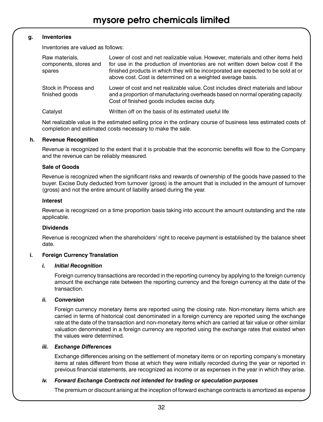### **g. Inventories**

Inventories are valued as follows:

| Raw materials.<br>components, stores and<br>spares | Lower of cost and net realizable value. However, materials and other items held<br>for use in the production of inventories are not written down below cost if the<br>finished products in which they will be incorporated are expected to be sold at or<br>above cost. Cost is determined on a weighted average basis. |
|----------------------------------------------------|-------------------------------------------------------------------------------------------------------------------------------------------------------------------------------------------------------------------------------------------------------------------------------------------------------------------------|
| Stock in Process and<br>finished goods             | Lower of cost and net realizable value. Cost includes direct materials and labour<br>and a proportion of manufacturing overheads based on normal operating capacity.<br>Cost of finished goods includes excise duty.                                                                                                    |
| Catalyst                                           | Written off on the basis of its estimated useful life                                                                                                                                                                                                                                                                   |

Net realizable value is the estimated selling price in the ordinary course of business less estimated costs of completion and estimated costs necessary to make the sale.

#### **h. Revenue Recognition**

Revenue is recognized to the extent that it is probable that the economic benefits will flow to the Company and the revenue can be reliably measured.

#### **Sale of Goods**

Revenue is recognized when the significant risks and rewards of ownership of the goods have passed to the buyer. Excise Duty deducted from turnover (gross) is the amount that is included in the amount of turnover (gross) and not the entire amount of liability arised during the year.

#### **Interest**

Revenue is recognized on a time proportion basis taking into account the amount outstanding and the rate applicable.

#### **Dividends**

Revenue is recognized when the shareholders' right to receive payment is established by the balance sheet date.

#### **i.** Foreign Currency Translation

#### *i. Initial Recognition*

Foreign currency transactions are recorded in the reporting currency by applying to the foreign currency amount the exchange rate between the reporting currency and the foreign currency at the date of the transaction.

#### *ii. Conversion*

Foreign currency monetary items are reported using the closing rate. Non-monetary items which are carried in terms of historical cost denominated in a foreign currency are reported using the exchange rate at the date of the transaction and non-monetary items which are carried at fair value or other similar valuation denominated in a foreign currency are reported using the exchange rates that existed when the values were determined.

#### *iii. Exchange Differences*

Exchange differences arising on the settlement of monetary items or on reporting company's monetary items at rates different from those at which they were initially recorded during the year or reported in previous financial statements, are recognized as income or as expenses in the year in which they arise.

#### *iv. Forward Exchange Contracts not intended for trading or speculation purposes*

The premium or discount arising at the inception of forward exchange contracts is amortized as expense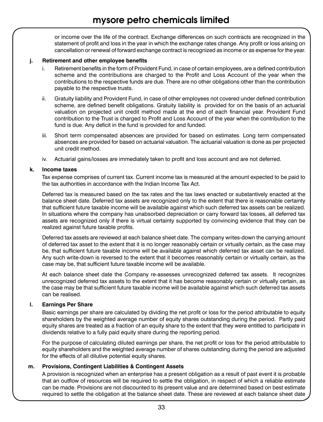or income over the life of the contract. Exchange differences on such contracts are recognized in the statement of profit and loss in the year in which the exchange rates change. Any profit or loss arising on cancellation or renewal of forward exchange contract is recognized as income or as expense for the year.

### **j. Retirement and other employee benefits**

- i. Retirement benefits in the form of Provident Fund, in case of certain employees, are a defined contribution scheme and the contributions are charged to the Profit and Loss Account of the year when the contributions to the respective funds are due. There are no other obligations other than the contribution payable to the respective trusts.
- ii. Gratuity liability and Provident Fund, in case of other employees not covered under defined contribution scheme, are defined benefit obligations. Gratuity liability is provided for on the basis of an actuarial valuation on projected unit credit method made at the end of each financial year. Provident Fund contribution to the Trust is charged to Profit and Loss Account of the year when the contribution to the fund is due. Any deficit in the fund is provided for and funded.
- iii. Short term compensated absences are provided for based on estimates. Long term compensated absences are provided for based on actuarial valuation. The actuarial valuation is done as per projected unit credit method.
- iv. Actuarial gains/losses are immediately taken to profit and loss account and are not deferred.

#### **k. Income taxes**

Tax expense comprises of current tax. Current income tax is measured at the amount expected to be paid to the tax authorities in accordance with the Indian Income Tax Act.

Deferred tax is measured based on the tax rates and the tax laws enacted or substantively enacted at the balance sheet date. Deferred tax assets are recognized only to the extent that there is reasonable certainty that sufficient future taxable income will be available against which such deferred tax assets can be realized. In situations where the company has unabsorbed depreciation or carry forward tax losses, all deferred tax assets are recognized only if there is virtual certainty supported by convincing evidence that they can be realized against future taxable profits.

Deferred tax assets are reviewed at each balance sheet date. The company writes-down the carrying amount of deferred tax asset to the extent that it is no longer reasonably certain or virtually certain, as the case may be, that sufficient future taxable income will be available against which deferred tax asset can be realized. Any such write-down is reversed to the extent that it becomes reasonably certain or virtually certain, as the case may be, that sufficient future taxable income will be available.

At each balance sheet date the Company re-assesses unrecognized deferred tax assets. It recognizes unrecognized deferred tax assets to the extent that it has become reasonably certain or virtually certain, as the case may be that sufficient future taxable income will be available against which such deferred tax assets can be realised.

### **l. Earnings Per Share**

Basic earnings per share are calculated by dividing the net profit or loss for the period attributable to equity shareholders by the weighted average number of equity shares outstanding during the period. Partly paid equity shares are treated as a fraction of an equity share to the extent that they were entitled to participate in dividends relative to a fully paid equity share during the reporting period.

For the purpose of calculating diluted earnings per share, the net profit or loss for the period attributable to equity shareholders and the weighted average number of shares outstanding during the period are adjusted for the effects of all dilutive potential equity shares.

### **m. Provisions, Contingent Liabilities & Contingent Assets**

A provision is recognized when an enterprise has a present obligation as a result of past event it is probable that an outflow of resources will be required to settle the obligation, in respect of which a reliable estimate can be made. Provisions are not discounted to its present value and are determined based on best estimate required to settle the obligation at the balance sheet date. These are reviewed at each balance sheet date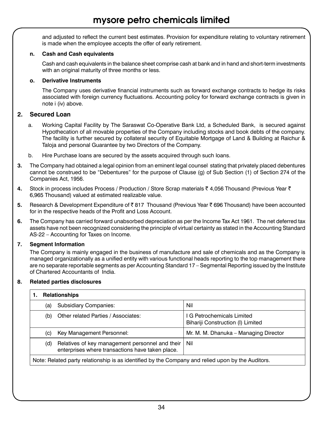and adjusted to reflect the current best estimates. Provision for expenditure relating to voluntary retirement is made when the employee accepts the offer of early retirement.

### **n. Cash and Cash equivalents**

Cash and cash equivalents in the balance sheet comprise cash at bank and in hand and short-term investments with an original maturity of three months or less.

### **o. Derivative Instruments**

The Company uses derivative financial instruments such as forward exchange contracts to hedge its risks associated with foreign currency fluctuations. Accounting policy for forward exchange contracts is given in note i (iv) above.

### **2. Secured Loan**

- a. Working Capital Facility by The Saraswat Co-Operative Bank Ltd, a Scheduled Bank, is secured against Hypothecation of all movable properties of the Company including stocks and book debts of the company. The facility is further secured by collateral security of Equitable Mortgage of Land & Building at Raichur & Taloja and personal Guarantee by two Directors of the Company.
- b. Hire Purchase loans are secured by the assets acquired through such loans.
- **3.** The Company had obtained a legal opinion from an eminent legal counsel stating that privately placed debentures cannot be construed to be "Debentures" for the purpose of Clause (g) of Sub Section (1) of Section 274 of the Companies Act, 1956.
- **4.** Stock in process includes Process / Production / Store Scrap materials ₹ 4,056 Thousand (Previous Year ₹ 6,965 Thousand) valued at estimated realizable value.
- **5.** Research & Development Expenditure of ₹817 Thousand (Previous Year ₹696 Thousand) have been accounted for in the respective heads of the Profit and Loss Account.
- **6.** The Company has carried forward unabsorbed depreciation as per the Income Tax Act 1961. The net deferred tax assets have not been recognized considering the principle of virtual certainty as stated in the Accounting Standard AS-22 – Accounting for Taxes on Income.

### **7. Segment Information**

The Company is mainly engaged in the business of manufacture and sale of chemicals and as the Company is managed organizationally as a unified entity with various functional heads reporting to the top management there are no separate reportable segments as per Accounting Standard 17 – Segmental Reporting issued by the Institute of Chartered Accountants of India.

### **8. Related parties disclosures**

### **1. Relationships**

| 1.1000000000000                                                                                   |                                                                                                     |                                                                 |  |
|---------------------------------------------------------------------------------------------------|-----------------------------------------------------------------------------------------------------|-----------------------------------------------------------------|--|
| (a)                                                                                               | <b>Subsidiary Companies:</b>                                                                        | Nil                                                             |  |
| (b)                                                                                               | Other related Parties / Associates:                                                                 | I G Petrochemicals Limited<br>Bihariji Construction (I) Limited |  |
| (C)                                                                                               | Key Management Personnel:                                                                           | Mr. M. M. Dhanuka - Managing Director                           |  |
| (d)                                                                                               | Relatives of key management personnel and their<br>enterprises where transactions have taken place. | - Nil                                                           |  |
| Note: Related party relationship is as identified by the Company and relied upon by the Auditors. |                                                                                                     |                                                                 |  |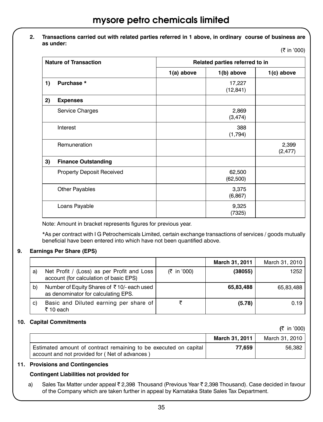### **2. Transactions carried out with related parties referred in 1 above, in ordinary course of business are as under:**

(₹ in '000)

 $(7 - 1000)$ 

| <b>Nature of Transaction</b> |                                  | Related parties referred to in |                     |                   |
|------------------------------|----------------------------------|--------------------------------|---------------------|-------------------|
|                              |                                  | 1(a) above                     | 1(b) above          | 1(c) above        |
| 1)                           | Purchase *                       |                                | 17,227<br>(12, 841) |                   |
| 2)                           | <b>Expenses</b>                  |                                |                     |                   |
|                              | Service Charges                  |                                | 2,869<br>(3, 474)   |                   |
|                              | Interest                         |                                | 388<br>(1,794)      |                   |
|                              | Remuneration                     |                                |                     | 2,399<br>(2, 477) |
| 3)                           | <b>Finance Outstanding</b>       |                                |                     |                   |
|                              | <b>Property Deposit Received</b> |                                | 62,500<br>(62, 500) |                   |
|                              | <b>Other Payables</b>            |                                | 3,375<br>(6, 867)   |                   |
|                              | Loans Payable                    |                                | 9,325<br>(7325)     |                   |

Note: Amount in bracket represents figures for previous year.

\*As per contract with I G Petrochemicals Limited, certain exchange transactions of services / goods mutually beneficial have been entered into which have not been quantified above.

#### **9. Earnings Per Share (EPS)**

|    |                                                                                      |             | March 31, 2011 | March 31, 2010 |
|----|--------------------------------------------------------------------------------------|-------------|----------------|----------------|
| a) | Net Profit / (Loss) as per Profit and Loss<br>account (for calculation of basic EPS) | (₹ in '000) | (38055)        | 1252           |
| b) | Number of Equity Shares of ₹10/- each used<br>as denominator for calculating EPS.    |             | 65,83,488      | 65,83,488      |
| C) | Basic and Diluted earning per share of<br>$\bar{z}$ 10 each                          |             | (5.78)         | 0.19           |

#### **10. Capital Commitments**

|                                                                                                                    |                | IS IN UUUI     |
|--------------------------------------------------------------------------------------------------------------------|----------------|----------------|
|                                                                                                                    | March 31, 2011 | March 31, 2010 |
| Estimated amount of contract remaining to be executed on capital<br>account and not provided for (Net of advances) | 77.659         | 56.382         |

### **11. Provisions and Contingencies**

#### **Contingent Liabilities not provided for**

a) Sales Tax Matter under appeal  $\bar{\xi}$  2,398 Thousand (Previous Year  $\bar{\xi}$  2,398 Thousand). Case decided in favour of the Company which are taken further in appeal by Karnataka State Sales Tax Department.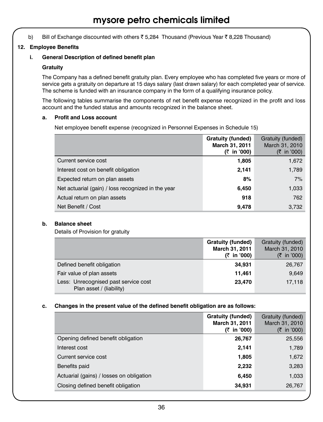b) Bill of Exchange discounted with others  $\bar{z}$  5,284 Thousand (Previous Year  $\bar{z}$  8,228 Thousand)

### **12. Employee Benefits**

### **i. General Description of defined benefit plan**

### **Gratuity**

The Company has a defined benefit gratuity plan. Every employee who has completed five years or more of service gets a gratuity on departure at 15 days salary (last drawn salary) for each completed year of service. The scheme is funded with an insurance company in the form of a qualifying insurance policy.

The following tables summarise the components of net benefit expense recognized in the profit and loss account and the funded status and amounts recognized in the balance sheet.

### **a. Profit and Loss account**

 Net employee benefit expense (recognized in Personnel Expenses in Schedule 15)

|                                                    | <b>Gratuity (funded)</b><br>March 31, 2011<br>(₹ in '000) | Gratuity (funded)<br>March 31, 2010<br>$(3 \times 10^{-10})$ |
|----------------------------------------------------|-----------------------------------------------------------|--------------------------------------------------------------|
| Current service cost                               | 1,805                                                     | 1,672                                                        |
| Interest cost on benefit obligation                | 2,141                                                     | 1,789                                                        |
| Expected return on plan assets                     | 8%                                                        | 7%                                                           |
| Net actuarial (gain) / loss recognized in the year | 6,450                                                     | 1,033                                                        |
| Actual return on plan assets                       | 918                                                       | 762                                                          |
| Net Benefit / Cost                                 | 9,478                                                     | 3,732                                                        |

### **b. Balance sheet**

 Details of Provision for gratuity

|                                                                  | <b>Gratuity (funded)</b><br>March 31, 2011<br>(₹ in '000) | Gratuity (funded)<br>March 31, 2010<br>$(3 \times 10^{-10})$ |
|------------------------------------------------------------------|-----------------------------------------------------------|--------------------------------------------------------------|
| Defined benefit obligation                                       | 34,931                                                    | 26,767                                                       |
| Fair value of plan assets                                        | 11,461                                                    | 9,649                                                        |
| Less: Unrecognised past service cost<br>Plan asset / (liability) | 23,470                                                    | 17,118                                                       |

#### **c. Changes in the present value of the defined benefit obligation are as follows:**

|                                          | <b>Gratuity (funded)</b><br>March 31, 2011<br>(₹ in '000) | Gratuity (funded)<br>March 31, 2010<br>(₹ in '000) |
|------------------------------------------|-----------------------------------------------------------|----------------------------------------------------|
| Opening defined benefit obligation       | 26,767                                                    | 25,556                                             |
| Interest cost                            | 2,141                                                     | 1,789                                              |
| Current service cost                     | 1,805                                                     | 1,672                                              |
| Benefits paid                            | 2,232                                                     | 3,283                                              |
| Actuarial (gains) / losses on obligation | 6,450                                                     | 1,033                                              |
| Closing defined benefit obligation       | 34,931                                                    | 26,767                                             |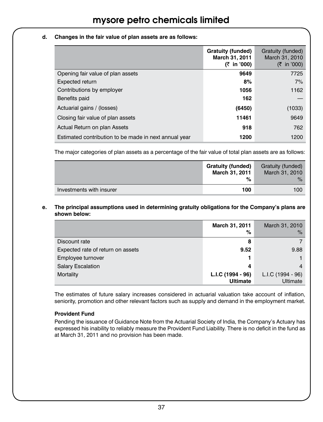### **d. Changes in the fair value of plan assets are as follows:**

|                                                       | Gratuity (funded)<br>March 31, 2011<br>(₹ in '000) | Gratuity (funded)<br>March 31, 2010<br>(₹ in '000) |
|-------------------------------------------------------|----------------------------------------------------|----------------------------------------------------|
| Opening fair value of plan assets                     | 9649                                               | 7725                                               |
| Expected return                                       | 8%                                                 | 7%                                                 |
| Contributions by employer                             | 1056                                               | 1162                                               |
| Benefits paid                                         | 162                                                |                                                    |
| Actuarial gains / (losses)                            | (6450)                                             | (1033)                                             |
| Closing fair value of plan assets                     | 11461                                              | 9649                                               |
| Actual Return on plan Assets                          | 918                                                | 762                                                |
| Estimated contribution to be made in next annual year | 1200                                               | 1200                                               |

The major categories of plan assets as a percentage of the fair value of total plan assets are as follows:

|                          | <b>Gratuity (funded)</b><br>March 31, 2011<br>% | Gratuity (funded)<br>March 31, 2010<br>$\%$ |
|--------------------------|-------------------------------------------------|---------------------------------------------|
| Investments with insurer | 100                                             | 100                                         |

### **e. The principal assumptions used in determining gratuity obligations for the Company's plans are shown below:**

|                                   | March 31, 2011<br>%                  | March 31, 2010<br>$\%$        |
|-----------------------------------|--------------------------------------|-------------------------------|
| Discount rate                     | 8                                    |                               |
| Expected rate of return on assets | 9.52                                 | 9.88                          |
| Employee turnover                 |                                      |                               |
| <b>Salary Escalation</b>          | 4                                    |                               |
| Mortality                         | L.I.C (1994 - 96)<br><b>Ultimate</b> | L.I.C (1994 - 96)<br>Ultimate |

The estimates of future salary increases considered in actuarial valuation take account of inflation, seniority, promotion and other relevant factors such as supply and demand in the employment market.

### **Provident Fund**

Pending the issuance of Guidance Note from the Actuarial Society of India, the Company's Actuary has expressed his inability to reliably measure the Provident Fund Liability. There is no deficit in the fund as at March 31, 2011 and no provision has been made.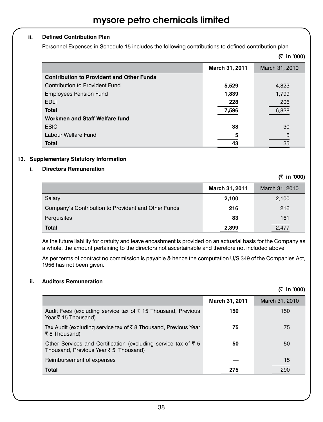### **ii. Defined Contribution Plan**

Personnel Expenses in Schedule 15 includes the following contributions to defined contribution plan

|                                                  |                | (₹ in '000)    |
|--------------------------------------------------|----------------|----------------|
|                                                  | March 31, 2011 | March 31, 2010 |
| <b>Contribution to Provident and Other Funds</b> |                |                |
| Contribution to Provident Fund                   | 5,529          | 4,823          |
| <b>Employees Pension Fund</b>                    | 1,839          | 1,799          |
| <b>EDLI</b>                                      | 228            | 206            |
| <b>Total</b>                                     | 7,596          | 6,828          |
| Workmen and Staff Welfare fund                   |                |                |
| <b>ESIC</b>                                      | 38             | 30             |
| Labour Welfare Fund                              | 5              | 5              |
| <b>Total</b>                                     | 43             | 35             |

### **13. Supplementary Statutory Information**

### **i. Directors Remuneration**

**(**` **in '000) March 31, 2011** March 31, 2010 Salary **2,100** 2,100 Company's Contribution to Provident and Other Funds **216** 216 Perquisites **83** 161 **Total 2,399** 2,477

As the future liability for gratuity and leave encashment is provided on an actuarial basis for the Company as a whole, the amount pertaining to the directors not ascertainable and therefore not included above.

As per terms of contract no commission is payable & hence the computation U/S 349 of the Companies Act, 1956 has not been given.

### **ii. Auditors Remuneration**

|  | in '000) |
|--|----------|
|  |          |

|                                                                                                                | March 31, 2011 | March 31, 2010 |
|----------------------------------------------------------------------------------------------------------------|----------------|----------------|
| Audit Fees (excluding service tax of ₹ 15 Thousand, Previous<br>Year ₹ 15 Thousand)                            | 150            | 150            |
| Tax Audit (excluding service tax of ₹8 Thousand, Previous Year<br>₹8 Thousand)                                 | 75             | 75             |
| Other Services and Certification (excluding service tax of $\bar{z}$ 5<br>Thousand, Previous Year ₹5 Thousand) | 50             | 50             |
| Reimbursement of expenses                                                                                      |                | 15             |
| <b>Total</b>                                                                                                   | 275            | 290            |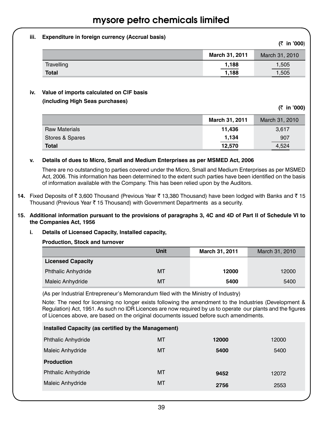### **iii. Expenditure in foreign currency (Accrual basis)**

|              |                | $(1 \text{ m } \circ \circ \circ)$ |
|--------------|----------------|------------------------------------|
|              | March 31, 2011 | March 31, 2010                     |
| Travelling   | 1.188          | 1,505                              |
| <b>Total</b> | _____<br>1.188 | 1,505                              |

### **iv. Value of imports calculated on CIF basis**

### **(including High Seas purchases)**

**(**` **in '000)**

**(**` **in '000**)

|                      | March 31, 2011 | March 31, 2010 |
|----------------------|----------------|----------------|
| <b>Raw Materials</b> | 11.436         | 3.617          |
| Stores & Spares      | 1,134          | 907            |
| <b>Total</b>         | 12,570         | 4,524          |

### **v. Details of dues to Micro, Small and Medium Enterprises as per MSMED Act, 2006**

There are no outstanding to parties covered under the Micro, Small and Medium Enterprises as per MSMED Act, 2006. This information has been determined to the extent such parties have been identified on the basis of information available with the Company. This has been relied upon by the Auditors.

**14.** Fixed Deposits of ₹ 3,600 Thousand (Previous Year ₹ 13,380 Thousand) have been lodged with Banks and ₹ 15 Thousand (Previous Year  $\bar{\tau}$  15 Thousand) with Government Departments as a security.

### 15. Additional information pursuant to the provisions of paragraphs 3, 4C and 4D of Part II of Schedule VI to **the Companies Act, 1956**

### **i. Details of Licensed Capacity, Installed capacity,**

#### **Production, Stock and turnover**

|                           | Unit      | March 31, 2011 | March 31, 2010 |
|---------------------------|-----------|----------------|----------------|
| <b>Licensed Capacity</b>  |           |                |                |
| <b>Phthalic Anhydride</b> | <b>MT</b> | 12000          | 12000          |
| Maleic Anhydride          | <b>MT</b> | 5400           | 5400           |

(As per Industrial Entrepreneur's Memorandum filed with the Ministry of Industry)

Note: The need for licensing no longer exists following the amendment to the Industries (Development & Regulation) Act, 1951. As such no IDR Licences are now required by us to operate our plants and the figures of Licences above, are based on the original documents issued before such amendments.

| Installed Capacity (as certified by the Management) |           |       |       |  |
|-----------------------------------------------------|-----------|-------|-------|--|
| <b>Phthalic Anhydride</b>                           | МT        | 12000 | 12000 |  |
| Maleic Anhydride                                    | MT        | 5400  | 5400  |  |
| <b>Production</b>                                   |           |       |       |  |
| <b>Phthalic Anhydride</b>                           | MT        | 9452  | 12072 |  |
| Maleic Anhydride                                    | <b>MT</b> | 2756  | 2553  |  |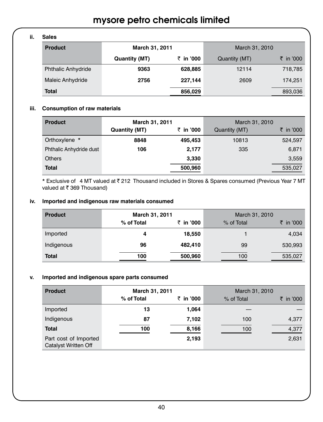### **ii. Sales**

| -----                     |                |           |                |           |
|---------------------------|----------------|-----------|----------------|-----------|
| <b>Product</b>            | March 31, 2011 |           | March 31, 2010 |           |
|                           | Quantity (MT)  | ₹ in '000 | Quantity (MT)  | ₹ in '000 |
| <b>Phthalic Anhydride</b> | 9363           | 628,885   | 12114          | 718,785   |
| Maleic Anhydride          | 2756           | 227,144   | 2609           | 174,251   |
| <b>Total</b>              |                | 856,029   |                | 893,036   |

### **iii. Consumption of raw materials**

| <b>Product</b>          | March 31, 2011       |           | March 31, 2010 |           |
|-------------------------|----------------------|-----------|----------------|-----------|
|                         | <b>Quantity (MT)</b> | ₹ in '000 | Quantity (MT)  | ₹ in '000 |
| Orthoxylene *           | 8848                 | 495,453   | 10813          | 524,597   |
| Phthalic Anhydride dust | 106                  | 2,177     | 335            | 6,871     |
| <b>Others</b>           |                      | 3,330     |                | 3,559     |
| Total                   |                      | 500,960   |                | 535,027   |

\* Exclusive of 4 MT valued at <a> 212<br/>Thousand included in Stores & Spares consumed (Previous Year 7 MT valued at  $\bar{\tau}$  369 Thousand)

### **iv. Imported and indigenous raw materials consumed**

| <b>Product</b> | March 31, 2011 |           |            | March 31, 2010 |
|----------------|----------------|-----------|------------|----------------|
|                | % of Total     | ₹ in '000 | % of Total | ₹ in '000      |
| Imported       |                | 18,550    |            | 4,034          |
| Indigenous     | 96             | 482,410   | 99         | 530,993        |
| <b>Total</b>   | 100            | 500,960   | 100        | 535,027        |

### **v. Imported and indigenous spare parts consumed**

| <b>Product</b>                                | March 31, 2011 |           | March 31, 2010 |           |
|-----------------------------------------------|----------------|-----------|----------------|-----------|
|                                               | % of Total     | ₹ in '000 | % of Total     | ₹ in '000 |
| Imported                                      | 13             | 1,064     |                |           |
| Indigenous                                    | 87             | 7,102     | 100            | 4,377     |
| <b>Total</b>                                  | 100            | 8,166     | 100            | 4,377     |
| Part cost of Imported<br>Catalyst Written Off |                | 2,193     |                | 2,631     |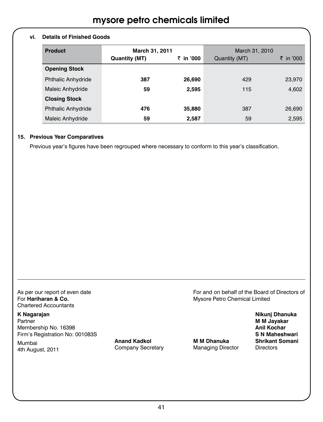### **vi. Details of Finished Goods**

| <b>Product</b>            | March 31, 2011       |           | March 31, 2010 |           |
|---------------------------|----------------------|-----------|----------------|-----------|
|                           | <b>Quantity (MT)</b> | ₹ in '000 | Quantity (MT)  | ₹ in '000 |
| <b>Opening Stock</b>      |                      |           |                |           |
| <b>Phthalic Anhydride</b> | 387                  | 26,690    | 429            | 23,970    |
| Maleic Anhydride          | 59                   | 2,595     | 115            | 4,602     |
| <b>Closing Stock</b>      |                      |           |                |           |
| <b>Phthalic Anhydride</b> | 476                  | 35,880    | 387            | 26,690    |
| Maleic Anhydride          | 59                   | 2,587     | 59             | 2,595     |

#### **15. Previous Year Comparatives**

Previous year's figures have been regrouped where necessary to conform to this year's classification.

Chartered Accountants 

**K Nagarajan Nikunj Dhanuka Partner M M** Jayakar Membership No. 16398<br> **Anil Kochar**<br>
Firm's Registration No: 001083S Firm's Registration No: 001083S<br>Mumbei **Mahesharian State Anand Kadkol Maheshwari** Maheshwarian Maheshwarian Maheshwari

manneal company Secretary Managing Director Directors 4th August, 2011

Mumbai **Anand Kadkol M M Dhanuka Shrikant Somani**

As per our report of even date **Assumed As a performance of the Board of Directors of Assumed Assumed Assumed Assumed Assumed Assumed Assumed Assumed Assumed Assumed Assumed Assumed Assumed Assumed Assumed Assumed Assumed** For **Hariharan & Co.**  Mysore Petro Chemical Limited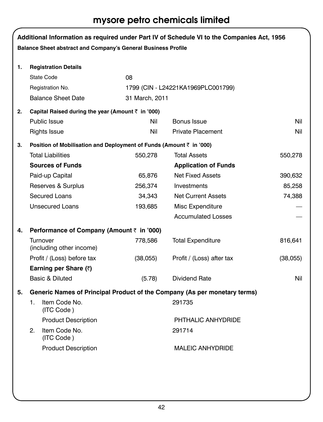mysore petro chemicals limited

|    | Balance Sheet abstract and Company's General Business Profile             |                | Additional Information as required under Part IV of Schedule VI to the Companies Act, 1956 |          |
|----|---------------------------------------------------------------------------|----------------|--------------------------------------------------------------------------------------------|----------|
| 1. | <b>Registration Details</b>                                               |                |                                                                                            |          |
|    | <b>State Code</b>                                                         | 08             |                                                                                            |          |
|    | Registration No.                                                          |                | 1799 (CIN - L24221KA1969PLC001799)                                                         |          |
|    | <b>Balance Sheet Date</b>                                                 | 31 March, 2011 |                                                                                            |          |
| 2. | Capital Raised during the year (Amount $\bar{z}$ in '000)                 |                |                                                                                            |          |
|    | <b>Public Issue</b>                                                       | Nil            | Bonus Issue                                                                                | Nil      |
|    | Rights Issue                                                              | Nil            | <b>Private Placement</b>                                                                   | Nil      |
| 3. | Position of Mobilisation and Deployment of Funds (Amount ₹ in '000)       |                |                                                                                            |          |
|    | <b>Total Liabilities</b>                                                  | 550,278        | <b>Total Assets</b>                                                                        | 550,278  |
|    | <b>Sources of Funds</b>                                                   |                | <b>Application of Funds</b>                                                                |          |
|    | Paid-up Capital                                                           | 65,876         | <b>Net Fixed Assets</b>                                                                    | 390,632  |
|    | Reserves & Surplus                                                        | 256,374        | Investments                                                                                | 85,258   |
|    | <b>Secured Loans</b>                                                      | 34,343         | <b>Net Current Assets</b>                                                                  | 74,388   |
|    | <b>Unsecured Loans</b>                                                    | 193,685        | Misc Expenditure                                                                           |          |
|    |                                                                           |                | <b>Accumulated Losses</b>                                                                  |          |
| 4. | Performance of Company (Amount ₹ in '000)                                 |                |                                                                                            |          |
|    | <b>Turnover</b><br>(including other income)                               | 778,586        | <b>Total Expenditure</b>                                                                   | 816,641  |
|    | Profit / (Loss) before tax                                                | (38,055)       | Profit / (Loss) after tax                                                                  | (38,055) |
|    | Earning per Share (₹)                                                     |                |                                                                                            |          |
|    | Basic & Diluted                                                           | (5.78)         | Dividend Rate                                                                              | Nil      |
| 5. | Generic Names of Principal Product of the Company (As per monetary terms) |                |                                                                                            |          |
|    | Item Code No.<br>1.<br>(ITC Code)                                         |                | 291735                                                                                     |          |
|    | <b>Product Description</b>                                                |                | PHTHALIC ANHYDRIDE                                                                         |          |
|    | Item Code No.<br>2.<br>(ITC Code)                                         |                | 291714                                                                                     |          |
|    | <b>Product Description</b>                                                |                | <b>MALEIC ANHYDRIDE</b>                                                                    |          |
|    |                                                                           |                |                                                                                            |          |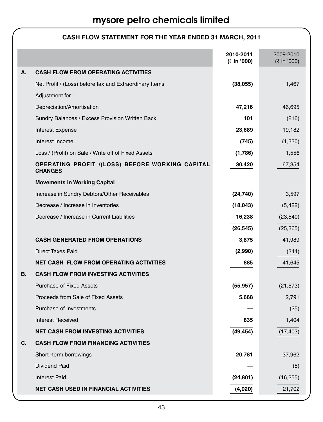|    |                                                                   | 2010-2011<br>(₹ in '000) | 2009-2010<br>(₹ in '000) |
|----|-------------------------------------------------------------------|--------------------------|--------------------------|
| А. | <b>CASH FLOW FROM OPERATING ACTIVITIES</b>                        |                          |                          |
|    | Net Profit / (Loss) before tax and Extraordinary Items            | (38,055)                 | 1,467                    |
|    | Adjustment for:                                                   |                          |                          |
|    | Depreciation/Amortisation                                         | 47,216                   | 46,695                   |
|    | Sundry Balances / Excess Provision Written Back                   | 101                      | (216)                    |
|    | Interest Expense                                                  | 23,689                   | 19,182                   |
|    | Interest Income                                                   | (745)                    | (1, 330)                 |
|    | Loss / (Profit) on Sale / Write off of Fixed Assets               | (1,786)                  | 1,556                    |
|    | OPERATING PROFIT /(LOSS) BEFORE WORKING CAPITAL<br><b>CHANGES</b> | 30,420                   | 67,354                   |
|    | <b>Movements in Working Capital</b>                               |                          |                          |
|    | Increase in Sundry Debtors/Other Receivables                      | (24, 740)                | 3,597                    |
|    | Decrease / Increase in Inventories                                | (18,043)                 | (5, 422)                 |
|    | Decrease / Increase in Current Liabilities                        | 16,238                   | (23, 540)                |
|    |                                                                   | (26, 545)                | (25, 365)                |
|    | <b>CASH GENERATED FROM OPERATIONS</b>                             | 3,875                    | 41,989                   |
|    | <b>Direct Taxes Paid</b>                                          | (2,990)                  | (344)                    |
|    | <b>NET CASH FLOW FROM OPERATING ACTIVITIES</b>                    | 885                      | 41,645                   |
| В. | <b>CASH FLOW FROM INVESTING ACTIVITIES</b>                        |                          |                          |
|    | <b>Purchase of Fixed Assets</b>                                   | (55, 957)                | (21, 573)                |
|    | Proceeds from Sale of Fixed Assets                                | 5,668                    | 2,791                    |
|    | Purchase of Investments                                           |                          | (25)                     |
|    | <b>Interest Received</b>                                          | 835                      | 1,404                    |
|    | <b>NET CASH FROM INVESTING ACTIVITIES</b>                         | (49, 454)                | (17, 403)                |
| C. | <b>CASH FLOW FROM FINANCING ACTIVITIES</b>                        |                          |                          |
|    | Short -term borrowings                                            | 20,781                   | 37,962                   |
|    | Dividend Paid                                                     |                          | (5)                      |
|    | <b>Interest Paid</b>                                              | (24, 801)                | (16, 255)                |
|    | <b>NET CASH USED IN FINANCIAL ACTIVITIES</b>                      | (4,020)                  | 21,702                   |

### **CASH FLOW STATEMENT FOR THE YEAR ENDED 31 MARCH, 2011**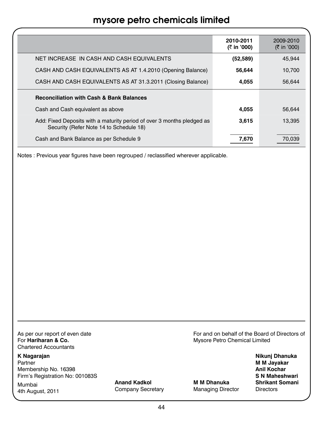|                                                                                                                   | 2010-2011<br>(₹ in '000) | 2009-2010<br>(₹ in '000) |
|-------------------------------------------------------------------------------------------------------------------|--------------------------|--------------------------|
| NET INCREASE IN CASH AND CASH EQUIVALENTS                                                                         | (52, 589)                | 45.944                   |
| CASH AND CASH EQUIVALENTS AS AT 1.4.2010 (Opening Balance)                                                        | 56.644                   | 10.700                   |
| CASH AND CASH EQUIVALENTS AS AT 31.3.2011 (Closing Balance)                                                       | 4,055                    | 56,644                   |
| <b>Reconciliation with Cash &amp; Bank Balances</b>                                                               |                          |                          |
| Cash and Cash equivalent as above                                                                                 | 4,055                    | 56.644                   |
| Add: Fixed Deposits with a maturity period of over 3 months pledged as<br>Security (Refer Note 14 to Schedule 18) | 3,615                    | 13,395                   |
| Cash and Bank Balance as per Schedule 9                                                                           | 7,670                    | 70,039                   |

Notes : Previous year figures have been regrouped / reclassified wherever applicable.

Chartered Accountants 

Membership No. 16398 Firm's Registration No: 001083S **Southern Control Control Control Control Control Control Control Control Control Control Control Control Control Control Control Control Control Control Control Control Control Control Cont** 

Mumbai **Anand Kadkol M M Dhanuka Shrikant Somani** Mumbai **Anang Kadkol Mumbai Shrikant Company Secretary**<br>4th August, 2011 Company Secretary Managing Director Directors

As per our report of even date<br>
For **Hariharan & Co. Co. Co. Co. Co. Co. Co. Co. Co. Co. Co. Co. Co. Co. Co. Co. Co. Co. Co. Co. Co. Co. Co. Co. Co. Co. Co. Co. Co. Mysore Petro Chemical Limited** 

**K Nagarajan Nikunj Dhanuka M** M Jayakar<br>Anil Kochar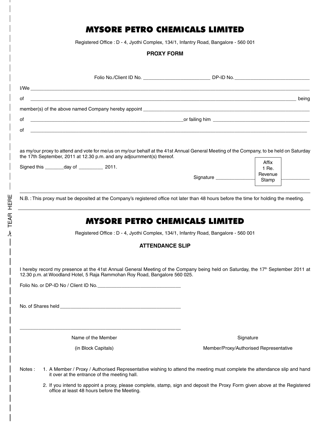### Mysore Petro Chemicals Limited

Registered Office : D - 4, Jyothi Complex, 134/1, Infantry Road, Bangalore - 560 001

### **PROXY FORM**

|                                                                                                                                                                                                                               |                        |                                                                                                                          | Folio No./Client ID No. 6. The Contract of the DP-ID No.                                                                   |
|-------------------------------------------------------------------------------------------------------------------------------------------------------------------------------------------------------------------------------|------------------------|--------------------------------------------------------------------------------------------------------------------------|----------------------------------------------------------------------------------------------------------------------------|
| I/Weisser and the state of the state of the state of the state of the state of the state of the state of the state of the state of the state of the state of the state of the state of the state of the state of the state of |                        |                                                                                                                          |                                                                                                                            |
| of                                                                                                                                                                                                                            |                        |                                                                                                                          | de de la contradición de la contradición de la contradición de la contradición de la contradición de la contra             |
|                                                                                                                                                                                                                               |                        |                                                                                                                          |                                                                                                                            |
| of                                                                                                                                                                                                                            |                        | or failing him                                                                                                           |                                                                                                                            |
| of                                                                                                                                                                                                                            |                        |                                                                                                                          |                                                                                                                            |
| as my/our proxy to attend and vote for me/us on my/our behalf at the 41st Annual General Meeting of the Company, to be held on Saturday<br>the 17th September, 2011 at 12.30 p.m. and any adjournment(s) thereof.             |                        |                                                                                                                          |                                                                                                                            |
| Signed this ________ day of _____________ 2011.                                                                                                                                                                               |                        |                                                                                                                          | Affix<br>1 Re.                                                                                                             |
|                                                                                                                                                                                                                               |                        | Signature                                                                                                                | Revenue                                                                                                                    |
|                                                                                                                                                                                                                               |                        |                                                                                                                          | Stamp                                                                                                                      |
| N.B.: This proxy must be deposited at the Company's registered office not later than 48 hours before the time for holding the meeting.                                                                                        |                        |                                                                                                                          |                                                                                                                            |
|                                                                                                                                                                                                                               |                        | <b>MYSORE PETRO CHEMICALS LIMITED</b>                                                                                    |                                                                                                                            |
|                                                                                                                                                                                                                               |                        | Registered Office : D - 4, Jyothi Complex, 134/1, Infantry Road, Bangalore - 560 001                                     |                                                                                                                            |
|                                                                                                                                                                                                                               | <b>ATTENDANCE SLIP</b> |                                                                                                                          |                                                                                                                            |
| I hereby record my presence at the 41st Annual General Meeting of the Company being held on Saturday, the 17 <sup>th</sup> September 2011 at<br>12.30 p.m. at Woodland Hotel, 5 Raja Rammohan Roy Road, Bangalore 560 025.    |                        |                                                                                                                          |                                                                                                                            |
|                                                                                                                                                                                                                               |                        |                                                                                                                          |                                                                                                                            |
|                                                                                                                                                                                                                               |                        |                                                                                                                          |                                                                                                                            |
| Name of the Member                                                                                                                                                                                                            |                        |                                                                                                                          | Signature                                                                                                                  |
| (in Block Capitals)                                                                                                                                                                                                           |                        |                                                                                                                          | Member/Proxy/Authorised Representative                                                                                     |
| Notes:<br>it over at the entrance of the meeting hall.                                                                                                                                                                        |                        | 1. A Member / Proxy / Authorised Representative wishing to attend the meeting must complete the attendance slip and hand |                                                                                                                            |
| office at least 48 hours before the Meeting.                                                                                                                                                                                  |                        |                                                                                                                          | 2. If you intend to appoint a proxy, please complete, stamp, sign and deposit the Proxy Form given above at the Registered |

**A TEAR HERE** TEAR here

 $\overline{\phantom{a}}$